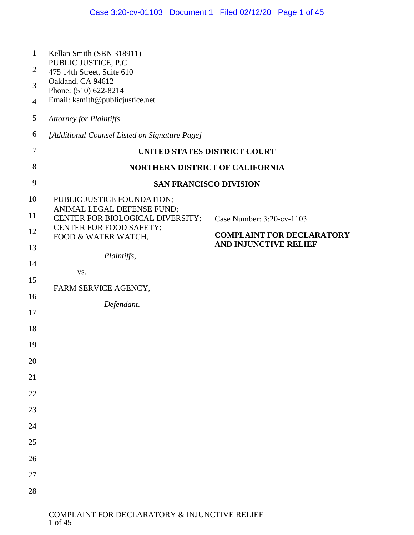|                                                                                                                | Case 3:20-cv-01103 Document 1 Filed 02/12/20 Page 1 of 45                                                                                                                                                                                                                                                                                                      |                                                                                               |
|----------------------------------------------------------------------------------------------------------------|----------------------------------------------------------------------------------------------------------------------------------------------------------------------------------------------------------------------------------------------------------------------------------------------------------------------------------------------------------------|-----------------------------------------------------------------------------------------------|
| $\mathbf{1}$<br>$\overline{2}$<br>3<br>$\overline{4}$<br>5<br>6<br>$\boldsymbol{7}$<br>8<br>9                  | Kellan Smith (SBN 318911)<br>PUBLIC JUSTICE, P.C.<br>475 14th Street, Suite 610<br>Oakland, CA 94612<br>Phone: (510) 622-8214<br>Email: ksmith@publicjustice.net<br><b>Attorney for Plaintiffs</b><br>[Additional Counsel Listed on Signature Page]<br>UNITED STATES DISTRICT COURT<br><b>NORTHERN DISTRICT OF CALIFORNIA</b><br><b>SAN FRANCISCO DIVISION</b> |                                                                                               |
| 10<br>11<br>12<br>13<br>14<br>15<br>16<br>17<br>18<br>19<br>20<br>21<br>22<br>23<br>24<br>25<br>26<br>27<br>28 | PUBLIC JUSTICE FOUNDATION;<br>ANIMAL LEGAL DEFENSE FUND;<br>CENTER FOR BIOLOGICAL DIVERSITY;<br>CENTER FOR FOOD SAFETY;<br>FOOD & WATER WATCH,<br>Plaintiffs,<br>VS.<br>FARM SERVICE AGENCY,<br>Defendant.                                                                                                                                                     | Case Number: 3:20-cv-1103<br><b>COMPLAINT FOR DECLARATORY</b><br><b>AND INJUNCTIVE RELIEF</b> |
|                                                                                                                | COMPLAINT FOR DECLARATORY & INJUNCTIVE RELIEF<br>1 of 45                                                                                                                                                                                                                                                                                                       |                                                                                               |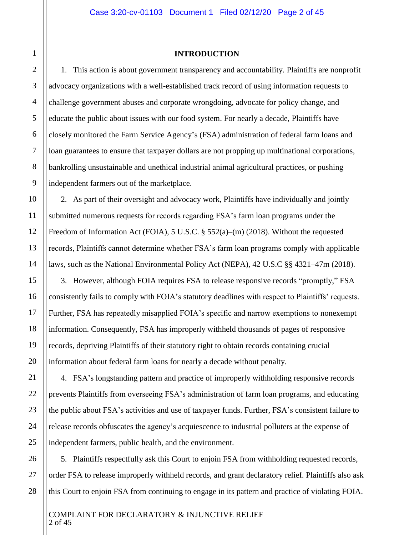#### **INTRODUCTION**

1. This action is about government transparency and accountability. Plaintiffs are nonprofit advocacy organizations with a well-established track record of using information requests to challenge government abuses and corporate wrongdoing, advocate for policy change, and educate the public about issues with our food system. For nearly a decade, Plaintiffs have closely monitored the Farm Service Agency's (FSA) administration of federal farm loans and loan guarantees to ensure that taxpayer dollars are not propping up multinational corporations, bankrolling unsustainable and unethical industrial animal agricultural practices, or pushing independent farmers out of the marketplace.

2. As part of their oversight and advocacy work, Plaintiffs have individually and jointly submitted numerous requests for records regarding FSA's farm loan programs under the Freedom of Information Act (FOIA), 5 U.S.C. § 552(a)–(m) (2018). Without the requested records, Plaintiffs cannot determine whether FSA's farm loan programs comply with applicable laws, such as the National Environmental Policy Act (NEPA), 42 U.S.C §§ 4321–47m (2018).

3. However, although FOIA requires FSA to release responsive records "promptly," FSA consistently fails to comply with FOIA's statutory deadlines with respect to Plaintiffs' requests. Further, FSA has repeatedly misapplied FOIA's specific and narrow exemptions to nonexempt information. Consequently, FSA has improperly withheld thousands of pages of responsive records, depriving Plaintiffs of their statutory right to obtain records containing crucial information about federal farm loans for nearly a decade without penalty.

4. FSA's longstanding pattern and practice of improperly withholding responsive records prevents Plaintiffs from overseeing FSA's administration of farm loan programs, and educating the public about FSA's activities and use of taxpayer funds. Further, FSA's consistent failure to release records obfuscates the agency's acquiescence to industrial polluters at the expense of independent farmers, public health, and the environment.

5. Plaintiffs respectfully ask this Court to enjoin FSA from withholding requested records, order FSA to release improperly withheld records, and grant declaratory relief. Plaintiffs also ask this Court to enjoin FSA from continuing to engage in its pattern and practice of violating FOIA.

COMPLAINT FOR DECLARATORY & INJUNCTIVE RELIEF 2 of 45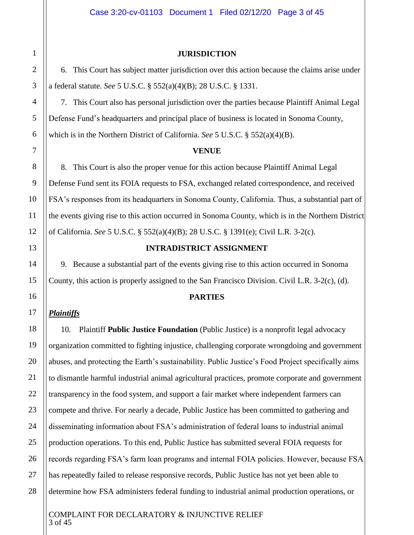#### **JURISDICTION**

6. This Court has subject matter jurisdiction over this action because the claims arise under a federal statute. *See* 5 U.S.C. § 552(a)(4)(B); 28 U.S.C. § 1331.

7. This Court also has personal jurisdiction over the parties because Plaintiff Animal Legal Defense Fund's headquarters and principal place of business is located in Sonoma County, which is in the Northern District of California. *See* 5 U.S.C. § 552(a)(4)(B).

#### **VENUE**

8. This Court is also the proper venue for this action because Plaintiff Animal Legal Defense Fund sent its FOIA requests to FSA, exchanged related correspondence, and received FSA's responses from its headquarters in Sonoma County, California. Thus, a substantial part of the events giving rise to this action occurred in Sonoma County, which is in the Northern District of California. *See* 5 U.S.C. § 552(a)(4)(B); 28 U.S.C. § 1391(e); Civil L.R. 3-2(c).

#### **INTRADISTRICT ASSIGNMENT**

9. Because a substantial part of the events giving rise to this action occurred in Sonoma County, this action is properly assigned to the San Francisco Division. Civil L.R. 3-2(c), (d).

#### **PARTIES**

#### *Plaintiffs*

10. Plaintiff **Public Justice Foundation** (Public Justice) is a nonprofit legal advocacy organization committed to fighting injustice, challenging corporate wrongdoing and government abuses, and protecting the Earth's sustainability. Public Justice's Food Project specifically aims to dismantle harmful industrial animal agricultural practices, promote corporate and government transparency in the food system, and support a fair market where independent farmers can compete and thrive. For nearly a decade, Public Justice has been committed to gathering and disseminating information about FSA's administration of federal loans to industrial animal production operations. To this end, Public Justice has submitted several FOIA requests for records regarding FSA's farm loan programs and internal FOIA policies. However, because FSA has repeatedly failed to release responsive records, Public Justice has not yet been able to determine how FSA administers federal funding to industrial animal production operations, or

COMPLAINT FOR DECLARATORY & INJUNCTIVE RELIEF 3 of 45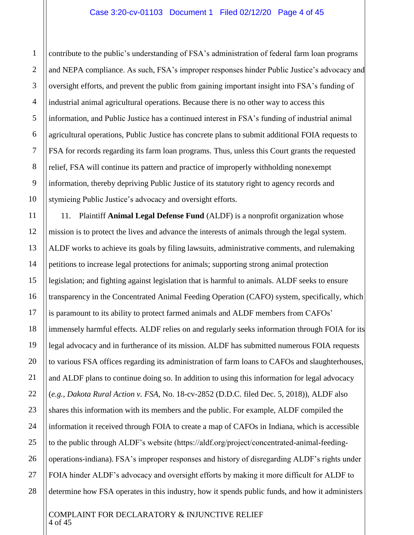#### Case 3:20-cv-01103 Document 1 Filed 02/12/20 Page 4 of 45

contribute to the public's understanding of FSA's administration of federal farm loan programs and NEPA compliance. As such, FSA's improper responses hinder Public Justice's advocacy and oversight efforts, and prevent the public from gaining important insight into FSA's funding of industrial animal agricultural operations. Because there is no other way to access this information, and Public Justice has a continued interest in FSA's funding of industrial animal agricultural operations, Public Justice has concrete plans to submit additional FOIA requests to FSA for records regarding its farm loan programs. Thus, unless this Court grants the requested relief, FSA will continue its pattern and practice of improperly withholding nonexempt information, thereby depriving Public Justice of its statutory right to agency records and stymieing Public Justice's advocacy and oversight efforts.

11. Plaintiff **Animal Legal Defense Fund** (ALDF) is a nonprofit organization whose mission is to protect the lives and advance the interests of animals through the legal system. ALDF works to achieve its goals by filing lawsuits, administrative comments, and rulemaking petitions to increase legal protections for animals; supporting strong animal protection legislation; and fighting against legislation that is harmful to animals. ALDF seeks to ensure transparency in the Concentrated Animal Feeding Operation (CAFO) system, specifically, which is paramount to its ability to protect farmed animals and ALDF members from CAFOs' immensely harmful effects. ALDF relies on and regularly seeks information through FOIA for its legal advocacy and in furtherance of its mission. ALDF has submitted numerous FOIA requests to various FSA offices regarding its administration of farm loans to CAFOs and slaughterhouses, and ALDF plans to continue doing so. In addition to using this information for legal advocacy (*e.g.*, *Dakota Rural Action v. FSA*, No. 18-cv-2852 (D.D.C. filed Dec. 5, 2018)), ALDF also shares this information with its members and the public. For example, ALDF compiled the information it received through FOIA to create a map of CAFOs in Indiana, which is accessible to the public through ALDF's website (https://aldf.org/project/concentrated-animal-feedingoperations-indiana). FSA's improper responses and history of disregarding ALDF's rights under FOIA hinder ALDF's advocacy and oversight efforts by making it more difficult for ALDF to determine how FSA operates in this industry, how it spends public funds, and how it administers

#### COMPLAINT FOR DECLARATORY & INJUNCTIVE RELIEF 4 of 45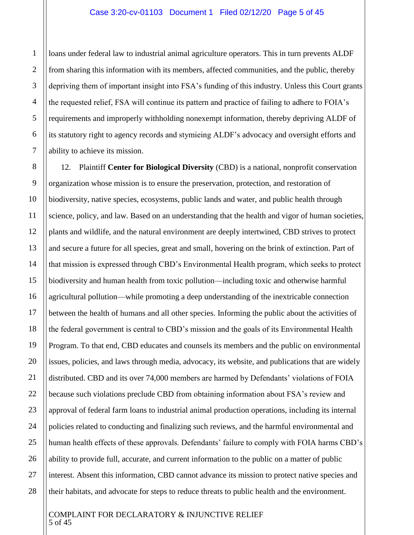loans under federal law to industrial animal agriculture operators. This in turn prevents ALDF from sharing this information with its members, affected communities, and the public, thereby depriving them of important insight into FSA's funding of this industry. Unless this Court grants the requested relief, FSA will continue its pattern and practice of failing to adhere to FOIA's requirements and improperly withholding nonexempt information, thereby depriving ALDF of its statutory right to agency records and stymieing ALDF's advocacy and oversight efforts and ability to achieve its mission.

12. Plaintiff **Center for Biological Diversity** (CBD) is a national, nonprofit conservation organization whose mission is to ensure the preservation, protection, and restoration of biodiversity, native species, ecosystems, public lands and water, and public health through science, policy, and law. Based on an understanding that the health and vigor of human societies, plants and wildlife, and the natural environment are deeply intertwined, CBD strives to protect and secure a future for all species, great and small, hovering on the brink of extinction. Part of that mission is expressed through CBD's Environmental Health program, which seeks to protect biodiversity and human health from toxic pollution—including toxic and otherwise harmful agricultural pollution—while promoting a deep understanding of the inextricable connection between the health of humans and all other species. Informing the public about the activities of the federal government is central to CBD's mission and the goals of its Environmental Health Program. To that end, CBD educates and counsels its members and the public on environmental issues, policies, and laws through media, advocacy, its website, and publications that are widely distributed. CBD and its over 74,000 members are harmed by Defendants' violations of FOIA because such violations preclude CBD from obtaining information about FSA's review and approval of federal farm loans to industrial animal production operations, including its internal policies related to conducting and finalizing such reviews, and the harmful environmental and human health effects of these approvals. Defendants' failure to comply with FOIA harms CBD's ability to provide full, accurate, and current information to the public on a matter of public interest. Absent this information, CBD cannot advance its mission to protect native species and their habitats, and advocate for steps to reduce threats to public health and the environment.

#### COMPLAINT FOR DECLARATORY & INJUNCTIVE RELIEF 5 of 45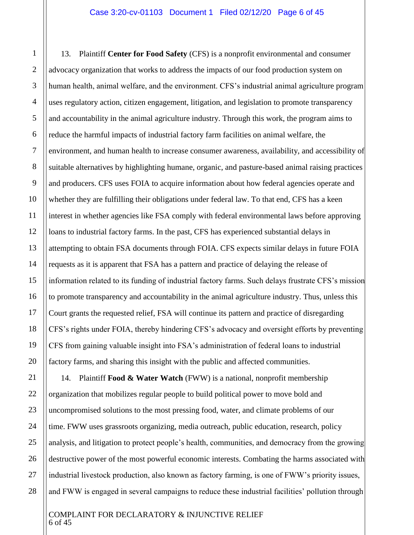13. Plaintiff **Center for Food Safety** (CFS) is a nonprofit environmental and consumer advocacy organization that works to address the impacts of our food production system on human health, animal welfare, and the environment. CFS's industrial animal agriculture program uses regulatory action, citizen engagement, litigation, and legislation to promote transparency and accountability in the animal agriculture industry. Through this work, the program aims to reduce the harmful impacts of industrial factory farm facilities on animal welfare, the environment, and human health to increase consumer awareness, availability, and accessibility of suitable alternatives by highlighting humane, organic, and pasture-based animal raising practices and producers. CFS uses FOIA to acquire information about how federal agencies operate and whether they are fulfilling their obligations under federal law. To that end, CFS has a keen interest in whether agencies like FSA comply with federal environmental laws before approving loans to industrial factory farms. In the past, CFS has experienced substantial delays in attempting to obtain FSA documents through FOIA. CFS expects similar delays in future FOIA requests as it is apparent that FSA has a pattern and practice of delaying the release of information related to its funding of industrial factory farms. Such delays frustrate CFS's mission to promote transparency and accountability in the animal agriculture industry. Thus, unless this Court grants the requested relief, FSA will continue its pattern and practice of disregarding CFS's rights under FOIA, thereby hindering CFS's advocacy and oversight efforts by preventing CFS from gaining valuable insight into FSA's administration of federal loans to industrial factory farms, and sharing this insight with the public and affected communities.

14. Plaintiff **Food & Water Watch** (FWW) is a national, nonprofit membership organization that mobilizes regular people to build political power to move bold and uncompromised solutions to the most pressing food, water, and climate problems of our time. FWW uses grassroots organizing, media outreach, public education, research, policy analysis, and litigation to protect people's health, communities, and democracy from the growing destructive power of the most powerful economic interests. Combating the harms associated with industrial livestock production, also known as factory farming, is one of FWW's priority issues, and FWW is engaged in several campaigns to reduce these industrial facilities' pollution through

#### COMPLAINT FOR DECLARATORY & INJUNCTIVE RELIEF 6 of 45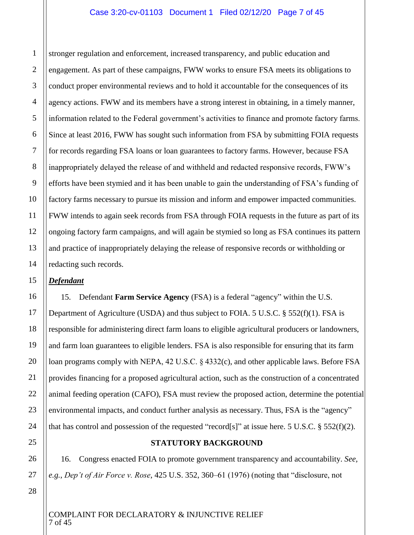#### Case 3:20-cv-01103 Document 1 Filed 02/12/20 Page 7 of 45

stronger regulation and enforcement, increased transparency, and public education and engagement. As part of these campaigns, FWW works to ensure FSA meets its obligations to conduct proper environmental reviews and to hold it accountable for the consequences of its agency actions. FWW and its members have a strong interest in obtaining, in a timely manner, information related to the Federal government's activities to finance and promote factory farms. Since at least 2016, FWW has sought such information from FSA by submitting FOIA requests for records regarding FSA loans or loan guarantees to factory farms. However, because FSA inappropriately delayed the release of and withheld and redacted responsive records, FWW's efforts have been stymied and it has been unable to gain the understanding of FSA's funding of factory farms necessary to pursue its mission and inform and empower impacted communities. FWW intends to again seek records from FSA through FOIA requests in the future as part of its ongoing factory farm campaigns, and will again be stymied so long as FSA continues its pattern and practice of inappropriately delaying the release of responsive records or withholding or redacting such records.

#### *Defendant*

1

2

3

4

5

6

7

8

9

10

11

12

13

14

15

16

17

18

19

20

21

22

23

24

25

26

27

15. Defendant **Farm Service Agency** (FSA) is a federal "agency" within the U.S. Department of Agriculture (USDA) and thus subject to FOIA. 5 U.S.C. § 552(f)(1). FSA is responsible for administering direct farm loans to eligible agricultural producers or landowners, and farm loan guarantees to eligible lenders. FSA is also responsible for ensuring that its farm loan programs comply with NEPA, 42 U.S.C. § 4332(c), and other applicable laws. Before FSA provides financing for a proposed agricultural action, such as the construction of a concentrated animal feeding operation (CAFO), FSA must review the proposed action, determine the potential environmental impacts, and conduct further analysis as necessary. Thus, FSA is the "agency" that has control and possession of the requested "record[s]" at issue here. 5 U.S.C. § 552(f)(2).

#### **STATUTORY BACKGROUND**

16. Congress enacted FOIA to promote government transparency and accountability. *See, e.g.*, *Dep't of Air Force v. Rose*, 425 U.S. 352, 360–61 (1976) (noting that "disclosure, not

28

COMPLAINT FOR DECLARATORY & INJUNCTIVE RELIEF 7 of 45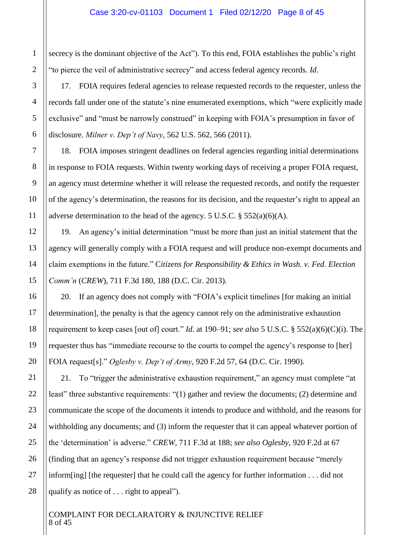secrecy is the dominant objective of the Act"). To this end, FOIA establishes the public's right "to pierce the veil of administrative secrecy" and access federal agency records. *Id*.

17. FOIA requires federal agencies to release requested records to the requester, unless the records fall under one of the statute's nine enumerated exemptions, which "were explicitly made exclusive" and "must be narrowly construed" in keeping with FOIA's presumption in favor of disclosure. *Milner v. Dep't of Navy*, 562 U.S. 562, 566 (2011).

18. FOIA imposes stringent deadlines on federal agencies regarding initial determinations in response to FOIA requests. Within twenty working days of receiving a proper FOIA request, an agency must determine whether it will release the requested records, and notify the requester of the agency's determination, the reasons for its decision, and the requester's right to appeal an adverse determination to the head of the agency. 5 U.S.C.  $\S$  552(a)(6)(A).

19. An agency's initial determination "must be more than just an initial statement that the agency will generally comply with a FOIA request and will produce non-exempt documents and claim exemptions in the future." C*itizens for Responsibility & Ethics in Wash. v. Fed. Election Comm'n* (*CREW*), 711 F.3d 180, 188 (D.C. Cir. 2013).

20. If an agency does not comply with "FOIA's explicit timelines [for making an initial determination], the penalty is that the agency cannot rely on the administrative exhaustion requirement to keep cases [out of] court." *Id.* at 190–91; *see also* 5 U.S.C. § 552(a)(6)(C)(i). The requester thus has "immediate recourse to the courts to compel the agency's response to [her] FOIA request[s]." *Oglesby v. Dep't of Army*, 920 F.2d 57, 64 (D.C. Cir. 1990).

21. To "trigger the administrative exhaustion requirement," an agency must complete "at least" three substantive requirements: "(1) gather and review the documents; (2) determine and communicate the scope of the documents it intends to produce and withhold, and the reasons for withholding any documents; and (3) inform the requester that it can appeal whatever portion of the 'determination' is adverse." *CREW*, 711 F.3d at 188; *see also Oglesby*, 920 F.2d at 67 (finding that an agency's response did not trigger exhaustion requirement because "merely inform[ing] [the requester] that he could call the agency for further information . . . did not qualify as notice of . . . right to appeal").

COMPLAINT FOR DECLARATORY & INJUNCTIVE RELIEF 8 of 45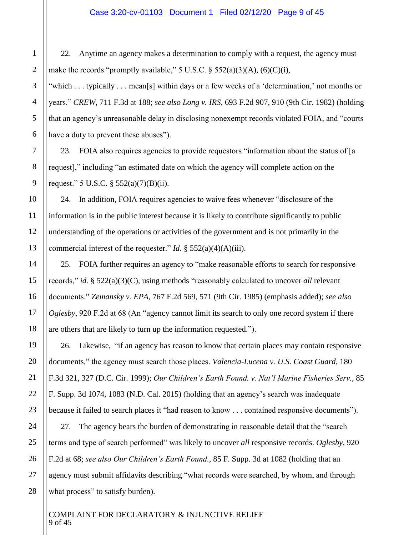22. Anytime an agency makes a determination to comply with a request, the agency must make the records "promptly available," 5 U.S.C.  $\S$  552(a)(3)(A), (6)(C)(i),

"which . . . typically . . . mean[s] within days or a few weeks of a 'determination,' not months or years." *CREW*, 711 F.3d at 188; *see also Long v. IRS*, 693 F.2d 907, 910 (9th Cir. 1982) (holding that an agency's unreasonable delay in disclosing nonexempt records violated FOIA, and "courts have a duty to prevent these abuses").

23. FOIA also requires agencies to provide requestors "information about the status of [a request]," including "an estimated date on which the agency will complete action on the request." 5 U.S.C.  $\S$  552(a)(7)(B)(ii).

24. In addition, FOIA requires agencies to waive fees whenever "disclosure of the information is in the public interest because it is likely to contribute significantly to public understanding of the operations or activities of the government and is not primarily in the commercial interest of the requester." *Id*. § 552(a)(4)(A)(iii).

25. FOIA further requires an agency to "make reasonable efforts to search for responsive records," *id.* § 522(a)(3)(C), using methods "reasonably calculated to uncover *all* relevant documents." *Zemansky v. EPA*, 767 F.2d 569, 571 (9th Cir. 1985) (emphasis added); *see also Oglesby*, 920 F.2d at 68 (An "agency cannot limit its search to only one record system if there are others that are likely to turn up the information requested.").

26. Likewise, "if an agency has reason to know that certain places may contain responsive documents," the agency must search those places. *Valencia-Lucena v. U.S. Coast Guard*, 180 F.3d 321, 327 (D.C. Cir. 1999); *Our Children's Earth Found. v. Nat'l Marine Fisheries Serv.*, 85 F. Supp. 3d 1074, 1083 (N.D. Cal. 2015) (holding that an agency's search was inadequate because it failed to search places it "had reason to know . . . contained responsive documents").

27. The agency bears the burden of demonstrating in reasonable detail that the "search terms and type of search performed" was likely to uncover *all* responsive records. *Oglesby*, 920 F.2d at 68; *see also Our Children's Earth Found.,* 85 F. Supp. 3d at 1082 (holding that an agency must submit affidavits describing "what records were searched, by whom, and through what process" to satisfy burden).

COMPLAINT FOR DECLARATORY & INJUNCTIVE RELIEF 9 of 45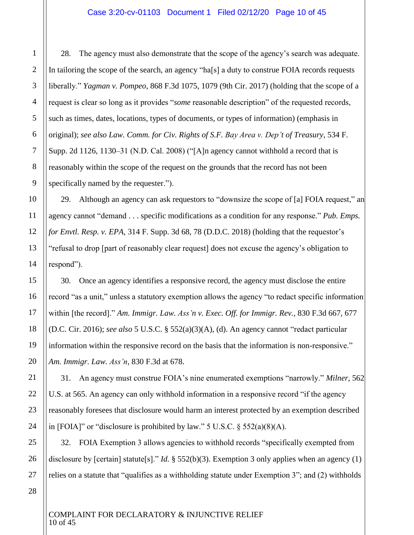28. The agency must also demonstrate that the scope of the agency's search was adequate. In tailoring the scope of the search, an agency "ha[s] a duty to construe FOIA records requests liberally." *Yagman v. Pompeo*, 868 F.3d 1075, 1079 (9th Cir. 2017) (holding that the scope of a request is clear so long as it provides "*some* reasonable description" of the requested records, such as times, dates, locations, types of documents, or types of information) (emphasis in original); *see also Law. Comm. for Civ. Rights of S.F. Bay Area v. Dep't of Treasury*, 534 F. Supp. 2d 1126, 1130–31 (N.D. Cal. 2008) ("[A]n agency cannot withhold a record that is reasonably within the scope of the request on the grounds that the record has not been specifically named by the requester.").

29. Although an agency can ask requestors to "downsize the scope of [a] FOIA request," an agency cannot "demand . . . specific modifications as a condition for any response." *Pub. Emps. for Envtl. Resp. v. EPA*, 314 F. Supp. 3d 68, 78 (D.D.C. 2018) (holding that the requestor's "refusal to drop [part of reasonably clear request] does not excuse the agency's obligation to respond").

30. Once an agency identifies a responsive record, the agency must disclose the entire record "as a unit," unless a statutory exemption allows the agency "to redact specific information within [the record]." *Am. Immigr. Law. Ass'n v. Exec. Off. for Immigr. Rev.*, 830 F.3d 667, 677 (D.C. Cir. 2016); *see also* 5 U.S.C. § 552(a)(3)(A), (d). An agency cannot "redact particular information within the responsive record on the basis that the information is non-responsive." *Am. Immigr. Law. Ass'n*, 830 F.3d at 678.

31. An agency must construe FOIA's nine enumerated exemptions "narrowly." *Milner*, 562 U.S. at 565. An agency can only withhold information in a responsive record "if the agency reasonably foresees that disclosure would harm an interest protected by an exemption described in [FOIA]" or "disclosure is prohibited by law." 5 U.S.C.  $\S$  552(a)(8)(A).

32. FOIA Exemption 3 allows agencies to withhold records "specifically exempted from disclosure by [certain] statute<sup>[s]</sup>." *Id.* § 552(b)(3). Exemption 3 only applies when an agency (1) relies on a statute that "qualifies as a withholding statute under Exemption 3"; and (2) withholds

1

2

3

4

5

6

7

8

9

10

11

12

13

14

15

16

17

18

19

20

21

22

23

24

25

26

COMPLAINT FOR DECLARATORY & INJUNCTIVE RELIEF 10 of 45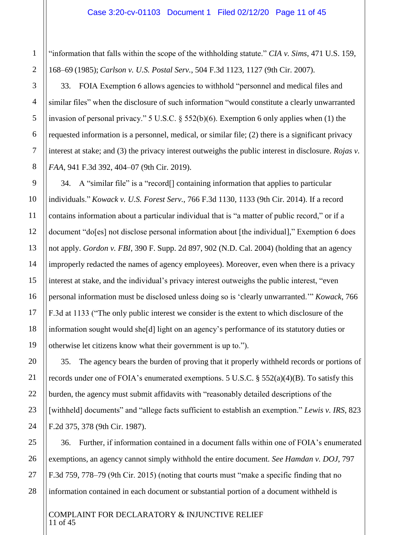"information that falls within the scope of the withholding statute." *CIA v. Sims*, 471 U.S. 159, 168–69 (1985); *Carlson v. U.S. Postal Serv.*, 504 F.3d 1123, 1127 (9th Cir. 2007).

33. FOIA Exemption 6 allows agencies to withhold "personnel and medical files and similar files" when the disclosure of such information "would constitute a clearly unwarranted invasion of personal privacy." 5 U.S.C. § 552(b)(6). Exemption 6 only applies when (1) the requested information is a personnel, medical, or similar file; (2) there is a significant privacy interest at stake; and (3) the privacy interest outweighs the public interest in disclosure. *Rojas v. FAA*, 941 F.3d 392, 404–07 (9th Cir. 2019).

34. A "similar file" is a "record[] containing information that applies to particular individuals." *Kowack v. U.S. Forest Serv.*, 766 F.3d 1130, 1133 (9th Cir. 2014). If a record contains information about a particular individual that is "a matter of public record," or if a document "do[es] not disclose personal information about [the individual]," Exemption 6 does not apply. *Gordon v. FBI*, 390 F. Supp. 2d 897, 902 (N.D. Cal. 2004) (holding that an agency improperly redacted the names of agency employees). Moreover, even when there is a privacy interest at stake, and the individual's privacy interest outweighs the public interest, "even personal information must be disclosed unless doing so is 'clearly unwarranted.'" *Kowack*, 766 F.3d at 1133 ("The only public interest we consider is the extent to which disclosure of the information sought would she[d] light on an agency's performance of its statutory duties or otherwise let citizens know what their government is up to.").

35. The agency bears the burden of proving that it properly withheld records or portions of records under one of FOIA's enumerated exemptions. 5 U.S.C. § 552(a)(4)(B). To satisfy this burden, the agency must submit affidavits with "reasonably detailed descriptions of the [withheld] documents" and "allege facts sufficient to establish an exemption." *Lewis v. IRS*, 823 F.2d 375, 378 (9th Cir. 1987).

36. Further, if information contained in a document falls within one of FOIA's enumerated exemptions, an agency cannot simply withhold the entire document. *See Hamdan v. DOJ*, 797 F.3d 759, 778–79 (9th Cir. 2015) (noting that courts must "make a specific finding that no information contained in each document or substantial portion of a document withheld is

#### COMPLAINT FOR DECLARATORY & INJUNCTIVE RELIEF 11 of 45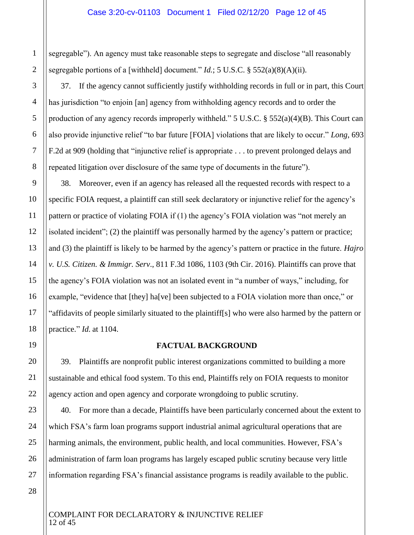#### Case 3:20-cv-01103 Document 1 Filed 02/12/20 Page 12 of 45

segregable"). An agency must take reasonable steps to segregate and disclose "all reasonably segregable portions of a [withheld] document." *Id.*; 5 U.S.C. § 552(a)(8)(A)(ii).

37. If the agency cannot sufficiently justify withholding records in full or in part, this Court has jurisdiction "to enjoin [an] agency from withholding agency records and to order the production of any agency records improperly withheld." 5 U.S.C. § 552(a)(4)(B). This Court can also provide injunctive relief "to bar future [FOIA] violations that are likely to occur." *Long*, 693 F.2d at 909 (holding that "injunctive relief is appropriate . . . to prevent prolonged delays and repeated litigation over disclosure of the same type of documents in the future").

38. Moreover, even if an agency has released all the requested records with respect to a specific FOIA request, a plaintiff can still seek declaratory or injunctive relief for the agency's pattern or practice of violating FOIA if (1) the agency's FOIA violation was "not merely an isolated incident"; (2) the plaintiff was personally harmed by the agency's pattern or practice; and (3) the plaintiff is likely to be harmed by the agency's pattern or practice in the future. *Hajro v. U.S. Citizen. & Immigr. Serv*., 811 F.3d 1086, 1103 (9th Cir. 2016). Plaintiffs can prove that the agency's FOIA violation was not an isolated event in "a number of ways," including, for example, "evidence that [they] ha[ve] been subjected to a FOIA violation more than once," or "affidavits of people similarly situated to the plaintiff[s] who were also harmed by the pattern or practice." *Id.* at 1104.

#### **FACTUAL BACKGROUND**

39. Plaintiffs are nonprofit public interest organizations committed to building a more sustainable and ethical food system. To this end, Plaintiffs rely on FOIA requests to monitor agency action and open agency and corporate wrongdoing to public scrutiny.

40. For more than a decade, Plaintiffs have been particularly concerned about the extent to which FSA's farm loan programs support industrial animal agricultural operations that are harming animals, the environment, public health, and local communities. However, FSA's administration of farm loan programs has largely escaped public scrutiny because very little information regarding FSA's financial assistance programs is readily available to the public.

1

2

3

4

5

6

7

8

9

10

11

12

13

14

15

16

17

18

19

20

#### COMPLAINT FOR DECLARATORY & INJUNCTIVE RELIEF 12 of 45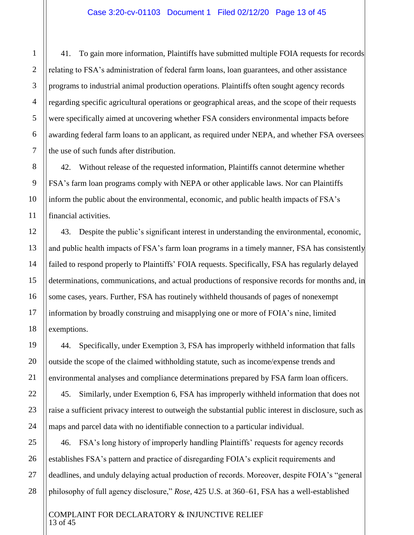41. To gain more information, Plaintiffs have submitted multiple FOIA requests for records relating to FSA's administration of federal farm loans, loan guarantees, and other assistance programs to industrial animal production operations. Plaintiffs often sought agency records regarding specific agricultural operations or geographical areas, and the scope of their requests were specifically aimed at uncovering whether FSA considers environmental impacts before awarding federal farm loans to an applicant, as required under NEPA, and whether FSA oversees the use of such funds after distribution.

42. Without release of the requested information, Plaintiffs cannot determine whether FSA's farm loan programs comply with NEPA or other applicable laws. Nor can Plaintiffs inform the public about the environmental, economic, and public health impacts of FSA's financial activities.

43. Despite the public's significant interest in understanding the environmental, economic, and public health impacts of FSA's farm loan programs in a timely manner, FSA has consistently failed to respond properly to Plaintiffs' FOIA requests. Specifically, FSA has regularly delayed determinations, communications, and actual productions of responsive records for months and, in some cases, years. Further, FSA has routinely withheld thousands of pages of nonexempt information by broadly construing and misapplying one or more of FOIA's nine, limited exemptions.

44. Specifically, under Exemption 3, FSA has improperly withheld information that falls outside the scope of the claimed withholding statute, such as income/expense trends and environmental analyses and compliance determinations prepared by FSA farm loan officers.

45. Similarly, under Exemption 6, FSA has improperly withheld information that does not raise a sufficient privacy interest to outweigh the substantial public interest in disclosure, such as maps and parcel data with no identifiable connection to a particular individual.

46. FSA's long history of improperly handling Plaintiffs' requests for agency records establishes FSA's pattern and practice of disregarding FOIA's explicit requirements and deadlines, and unduly delaying actual production of records. Moreover, despite FOIA's "general philosophy of full agency disclosure," *Rose*, 425 U.S. at 360–61, FSA has a well-established

#### COMPLAINT FOR DECLARATORY & INJUNCTIVE RELIEF 13 of 45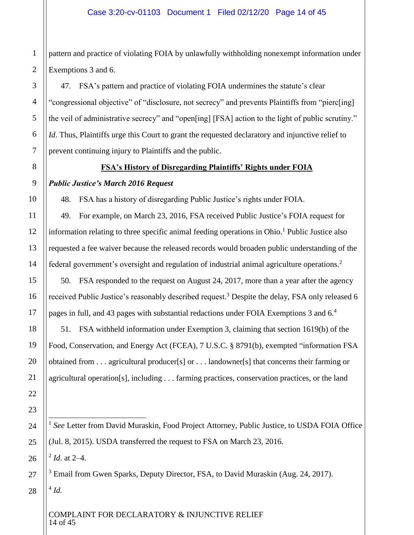pattern and practice of violating FOIA by unlawfully withholding nonexempt information under Exemptions 3 and 6.

47. FSA's pattern and practice of violating FOIA undermines the statute's clear "congressional objective" of "disclosure, not secrecy" and prevents Plaintiffs from "pierc[ing] the veil of administrative secrecy" and "open[ing] [FSA] action to the light of public scrutiny." *Id*. Thus, Plaintiffs urge this Court to grant the requested declaratory and injunctive relief to prevent continuing injury to Plaintiffs and the public.

# **FSA's History of Disregarding Plaintiffs' Rights under FOIA**

# *Public Justice's March 2016 Request*

48. FSA has a history of disregarding Public Justice's rights under FOIA.

49. For example, on March 23, 2016, FSA received Public Justice's FOIA request for information relating to three specific animal feeding operations in Ohio.<sup>1</sup> Public Justice also requested a fee waiver because the released records would broaden public understanding of the federal government's oversight and regulation of industrial animal agriculture operations.<sup>2</sup>

50. FSA responded to the request on August 24, 2017, more than a year after the agency received Public Justice's reasonably described request.<sup>3</sup> Despite the delay, FSA only released 6 pages in full, and 43 pages with substantial redactions under FOIA Exemptions 3 and 6.<sup>4</sup>

51. FSA withheld information under Exemption 3, claiming that section 1619(b) of the Food, Conservation, and Energy Act (FCEA), 7 U.S.C. § 8791(b), exempted "information FSA obtained from . . . agricultural producer[s] or . . . landowner[s] that concerns their farming or agricultural operation[s], including . . . farming practices, conservation practices, or the land

<sup>1</sup> See Letter from David Muraskin, Food Project Attorney, Public Justice, to USDA FOIA Office (Jul. 8, 2015). USDA transferred the request to FSA on March 23, 2016.

2 *Id.* at 2–4.

 $\overline{a}$ 

<sup>3</sup> Email from Gwen Sparks, Deputy Director, FSA, to David Muraskin (Aug. 24, 2017). 4 *Id.*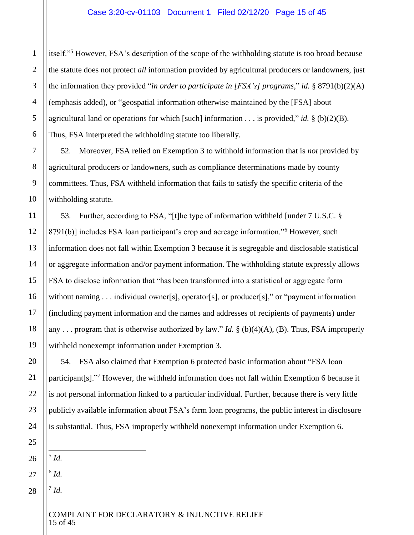itself."<sup>5</sup> However, FSA's description of the scope of the withholding statute is too broad because the statute does not protect *all* information provided by agricultural producers or landowners, just the information they provided "*in order to participate in [FSA's] programs*," *id.* § 8791(b)(2)(A) (emphasis added), or "geospatial information otherwise maintained by the [FSA] about agricultural land or operations for which [such] information . . . is provided," *id.* § (b)(2)(B). Thus, FSA interpreted the withholding statute too liberally.

52. Moreover, FSA relied on Exemption 3 to withhold information that is *not* provided by agricultural producers or landowners, such as compliance determinations made by county committees. Thus, FSA withheld information that fails to satisfy the specific criteria of the withholding statute.

53. Further, according to FSA, "[t]he type of information withheld [under 7 U.S.C. § 8791(b)] includes FSA loan participant's crop and acreage information."<sup>6</sup> However, such information does not fall within Exemption 3 because it is segregable and disclosable statistical or aggregate information and/or payment information. The withholding statute expressly allows FSA to disclose information that "has been transformed into a statistical or aggregate form without naming . . . individual owner[s], operator[s], or producer[s]," or "payment information (including payment information and the names and addresses of recipients of payments) under any . . . program that is otherwise authorized by law." *Id.* § (b)(4)(A), (B). Thus, FSA improperly withheld nonexempt information under Exemption 3.

54. FSA also claimed that Exemption 6 protected basic information about "FSA loan participant[s]."<sup>7</sup> However, the withheld information does not fall within Exemption 6 because it is not personal information linked to a particular individual. Further, because there is very little publicly available information about FSA's farm loan programs, the public interest in disclosure is substantial. Thus, FSA improperly withheld nonexempt information under Exemption 6.

 $\overline{a}$ 5 *Id.*

6 *Id.*

7 *Id.*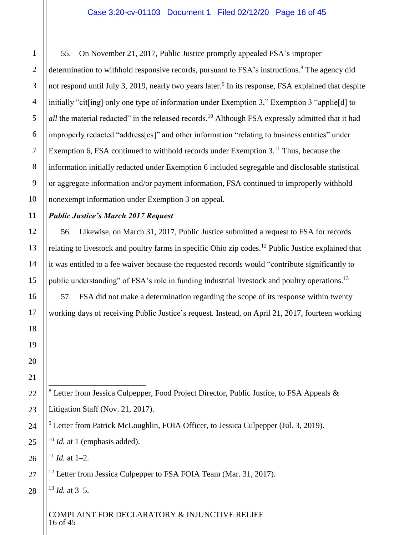55. On November 21, 2017, Public Justice promptly appealed FSA's improper determination to withhold responsive records, pursuant to FSA's instructions.<sup>8</sup> The agency did not respond until July 3, 2019, nearly two years later.<sup>9</sup> In its response, FSA explained that despite initially "cit[ing] only one type of information under Exemption 3," Exemption 3 "applie[d] to *all* the material redacted" in the released records.<sup>10</sup> Although FSA expressly admitted that it had improperly redacted "address[es]" and other information "relating to business entities" under Exemption 6, FSA continued to withhold records under Exemption  $3<sup>11</sup>$  Thus, because the information initially redacted under Exemption 6 included segregable and disclosable statistical or aggregate information and/or payment information, FSA continued to improperly withhold nonexempt information under Exemption 3 on appeal.

# *Public Justice's March 2017 Request*

56. Likewise, on March 31, 2017, Public Justice submitted a request to FSA for records relating to livestock and poultry farms in specific Ohio zip codes.<sup>12</sup> Public Justice explained that it was entitled to a fee waiver because the requested records would "contribute significantly to public understanding" of FSA's role in funding industrial livestock and poultry operations.<sup>13</sup>

57. FSA did not make a determination regarding the scope of its response within twenty working days of receiving Public Justice's request. Instead, on April 21, 2017, fourteen working

 $8$  Letter from Jessica Culpepper, Food Project Director, Public Justice, to FSA Appeals  $\&$ Litigation Staff (Nov. 21, 2017).

<sup>9</sup> Letter from Patrick McLoughlin, FOIA Officer, to Jessica Culpepper (Jul. 3, 2019).

<sup>10</sup> *Id.* at 1 (emphasis added).

 $11$  *Id.* at 1–2.

 $\overline{a}$ 

<sup>12</sup> Letter from Jessica Culpepper to FSA FOIA Team (Mar. 31, 2017).

 $13$  *Id.* at 3–5.

COMPLAINT FOR DECLARATORY & INJUNCTIVE RELIEF 16 of 45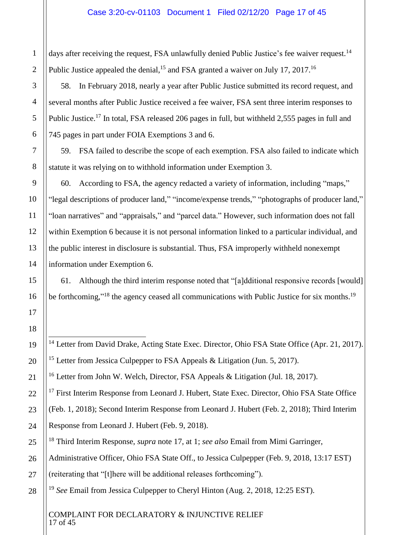days after receiving the request, FSA unlawfully denied Public Justice's fee waiver request.<sup>14</sup> Public Justice appealed the denial, <sup>15</sup> and FSA granted a waiver on July 17, 2017.<sup>16</sup>

58. In February 2018, nearly a year after Public Justice submitted its record request, and several months after Public Justice received a fee waiver, FSA sent three interim responses to Public Justice.<sup>17</sup> In total, FSA released 206 pages in full, but withheld 2,555 pages in full and 745 pages in part under FOIA Exemptions 3 and 6.

<span id="page-16-0"></span>59. FSA failed to describe the scope of each exemption. FSA also failed to indicate which statute it was relying on to withhold information under Exemption 3.

60. According to FSA, the agency redacted a variety of information, including "maps," "legal descriptions of producer land," "income/expense trends," "photographs of producer land," "loan narratives" and "appraisals," and "parcel data." However, such information does not fall within Exemption 6 because it is not personal information linked to a particular individual, and the public interest in disclosure is substantial. Thus, FSA improperly withheld nonexempt information under Exemption 6.

61. Although the third interim response noted that "[a]dditional responsive records [would] be forthcoming,"<sup>18</sup> the agency ceased all communications with Public Justice for six months.<sup>19</sup>

<sup>14</sup> Letter from David Drake, Acting State Exec. Director, Ohio FSA State Office (Apr. 21, 2017). <sup>15</sup> Letter from Jessica Culpepper to FSA Appeals & Litigation (Jun. 5, 2017).

<sup>16</sup> Letter from John W. Welch, Director, FSA Appeals & Litigation (Jul. 18, 2017).

<sup>17</sup> First Interim Response from Leonard J. Hubert, State Exec. Director, Ohio FSA State Office

(Feb. 1, 2018); Second Interim Response from Leonard J. Hubert (Feb. 2, 2018); Third Interim Response from Leonard J. Hubert (Feb. 9, 2018).

- <sup>18</sup> Third Interim Response, *supra* note [17,](#page-16-0) at 1; *see also* Email from Mimi Garringer,
- Administrative Officer, Ohio FSA State Off., to Jessica Culpepper (Feb. 9, 2018, 13:17 EST)
- (reiterating that "[t]here will be additional releases forthcoming").

<sup>19</sup> *See* Email from Jessica Culpepper to Cheryl Hinton (Aug. 2, 2018, 12:25 EST).

COMPLAINT FOR DECLARATORY & INJUNCTIVE RELIEF 17 of 45

 $\overline{a}$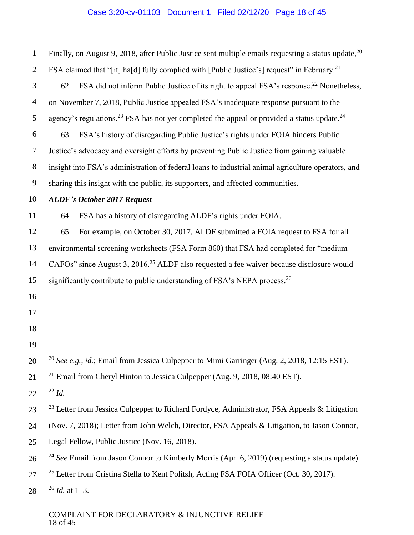1 Finally, on August 9, 2018, after Public Justice sent multiple emails requesting a status update,  $20$ FSA claimed that "[it] ha[d] fully complied with [Public Justice's] request" in February.<sup>21</sup> 62. FSA did not inform Public Justice of its right to appeal FSA's response.<sup>22</sup> Nonetheless, on November 7, 2018, Public Justice appealed FSA's inadequate response pursuant to the agency's regulations.<sup>23</sup> FSA has not yet completed the appeal or provided a status update.<sup>24</sup> 63. FSA's history of disregarding Public Justice's rights under FOIA hinders Public Justice's advocacy and oversight efforts by preventing Public Justice from gaining valuable insight into FSA's administration of federal loans to industrial animal agriculture operators, and sharing this insight with the public, its supporters, and affected communities. *ALDF's October 2017 Request* 64. FSA has a history of disregarding ALDF's rights under FOIA. 65. For example, on October 30, 2017, ALDF submitted a FOIA request to FSA for all environmental screening worksheets (FSA Form 860) that FSA had completed for "medium CAFOs" since August 3, 2016.<sup>25</sup> ALDF also requested a fee waiver because disclosure would significantly contribute to public understanding of FSA's NEPA process.<sup>26</sup>  $\overline{a}$ <sup>20</sup> *See e.g., id.*; Email from Jessica Culpepper to Mimi Garringer (Aug. 2, 2018, 12:15 EST). <sup>21</sup> Email from Cheryl Hinton to Jessica Culpepper (Aug. 9, 2018, 08:40 EST). <sup>22</sup> *Id.* <sup>23</sup> Letter from Jessica Culpepper to Richard Fordyce, Administrator, FSA Appeals & Litigation (Nov. 7, 2018); Letter from John Welch, Director, FSA Appeals & Litigation, to Jason Connor, Legal Fellow, Public Justice (Nov. 16, 2018).

<sup>24</sup> See Email from Jason Connor to Kimberly Morris (Apr. 6, 2019) (requesting a status update).

<sup>25</sup> Letter from Cristina Stella to Kent Politsh, Acting FSA FOIA Officer (Oct. 30, 2017). <sup>26</sup> *Id.* at 1–3.

COMPLAINT FOR DECLARATORY & INJUNCTIVE RELIEF 18 of 45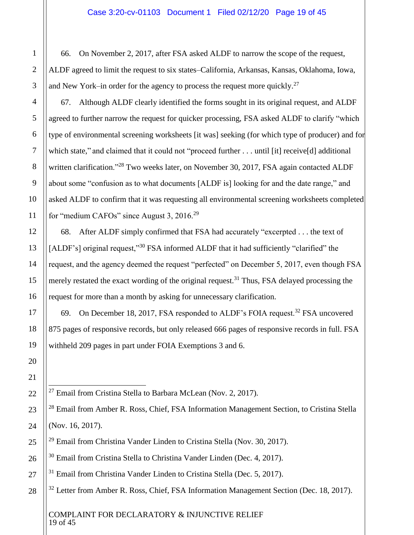66. On November 2, 2017, after FSA asked ALDF to narrow the scope of the request, ALDF agreed to limit the request to six states–California, Arkansas, Kansas, Oklahoma, Iowa, and New York–in order for the agency to process the request more quickly.<sup>27</sup>

67. Although ALDF clearly identified the forms sought in its original request, and ALDF agreed to further narrow the request for quicker processing, FSA asked ALDF to clarify "which type of environmental screening worksheets [it was] seeking (for which type of producer) and for which state," and claimed that it could not "proceed further . . . until [it] receive[d] additional written clarification."<sup>28</sup> Two weeks later, on November 30, 2017, FSA again contacted ALDF about some "confusion as to what documents [ALDF is] looking for and the date range," and asked ALDF to confirm that it was requesting all environmental screening worksheets completed for "medium CAFOs" since August 3, 2016.<sup>29</sup>

68. After ALDF simply confirmed that FSA had accurately "excerpted . . . the text of [ALDF's] original request,"<sup>30</sup> FSA informed ALDF that it had sufficiently "clarified" the request, and the agency deemed the request "perfected" on December 5, 2017, even though FSA merely restated the exact wording of the original request.<sup>31</sup> Thus, FSA delayed processing the request for more than a month by asking for unnecessary clarification.

69. On December 18, 2017, FSA responded to ALDF's FOIA request.<sup>32</sup> FSA uncovered 875 pages of responsive records, but only released 666 pages of responsive records in full. FSA withheld 209 pages in part under FOIA Exemptions 3 and 6.

 $\overline{a}$  $^{27}$  Email from Cristina Stella to Barbara McLean (Nov. 2, 2017).

- <sup>31</sup> Email from Christina Vander Linden to Cristina Stella (Dec. 5, 2017).
- <sup>32</sup> Letter from Amber R. Ross, Chief, FSA Information Management Section (Dec. 18, 2017).

COMPLAINT FOR DECLARATORY & INJUNCTIVE RELIEF 19 of 45

<sup>&</sup>lt;sup>28</sup> Email from Amber R. Ross, Chief, FSA Information Management Section, to Cristina Stella (Nov. 16, 2017).

 $^{29}$  Email from Christina Vander Linden to Cristina Stella (Nov. 30, 2017).

<sup>&</sup>lt;sup>30</sup> Email from Cristina Stella to Christina Vander Linden (Dec. 4, 2017).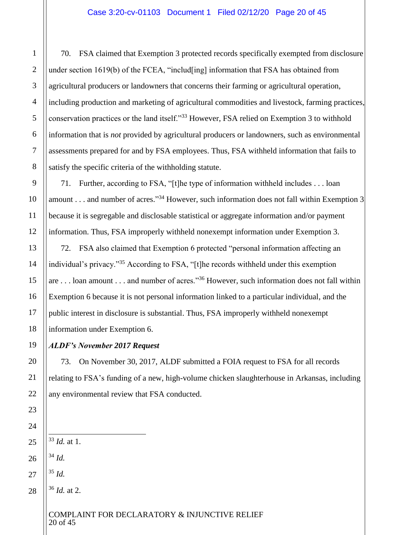70. FSA claimed that Exemption 3 protected records specifically exempted from disclosure under section  $1619(b)$  of the FCEA, "includ [ing] information that FSA has obtained from agricultural producers or landowners that concerns their farming or agricultural operation, including production and marketing of agricultural commodities and livestock, farming practices, conservation practices or the land itself."<sup>33</sup> However, FSA relied on Exemption 3 to withhold information that is *not* provided by agricultural producers or landowners, such as environmental assessments prepared for and by FSA employees. Thus, FSA withheld information that fails to satisfy the specific criteria of the withholding statute.

71. Further, according to FSA, "[t]he type of information withheld includes . . . loan amount . . . and number of acres."<sup>34</sup> However, such information does not fall within Exemption 3 because it is segregable and disclosable statistical or aggregate information and/or payment information. Thus, FSA improperly withheld nonexempt information under Exemption 3.

72. FSA also claimed that Exemption 6 protected "personal information affecting an individual's privacy."<sup>35</sup> According to FSA, "[t]he records withheld under this exemption are . . . loan amount . . . and number of acres."<sup>36</sup> However, such information does not fall within Exemption 6 because it is not personal information linked to a particular individual, and the public interest in disclosure is substantial. Thus, FSA improperly withheld nonexempt information under Exemption 6.

# *ALDF's November 2017 Request*

73. On November 30, 2017, ALDF submitted a FOIA request to FSA for all records relating to FSA's funding of a new, high-volume chicken slaughterhouse in Arkansas, including any environmental review that FSA conducted.

<sup>34</sup> *Id.*

 $\overline{a}$ 

- <sup>35</sup> *Id.*
	- <sup>36</sup> *Id.* at 2.

COMPLAINT FOR DECLARATORY & INJUNCTIVE RELIEF 20 of 45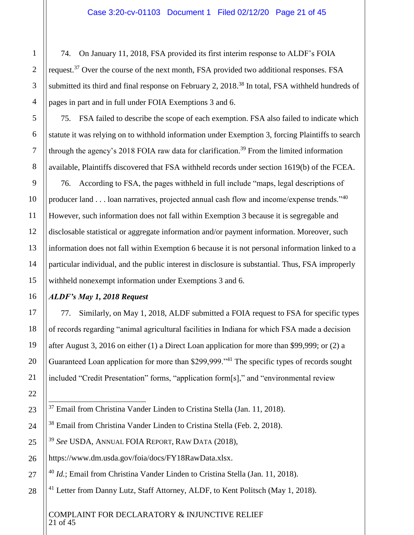74. On January 11, 2018, FSA provided its first interim response to ALDF's FOIA request.<sup>37</sup> Over the course of the next month, FSA provided two additional responses. FSA submitted its third and final response on February 2, 2018.<sup>38</sup> In total, FSA withheld hundreds of pages in part and in full under FOIA Exemptions 3 and 6.

75. FSA failed to describe the scope of each exemption. FSA also failed to indicate which statute it was relying on to withhold information under Exemption 3, forcing Plaintiffs to search through the agency's 2018 FOIA raw data for clarification.<sup>39</sup> From the limited information available, Plaintiffs discovered that FSA withheld records under section 1619(b) of the FCEA.

76. According to FSA, the pages withheld in full include "maps, legal descriptions of producer land  $\dots$  loan narratives, projected annual cash flow and income/expense trends."<sup>40</sup> However, such information does not fall within Exemption 3 because it is segregable and disclosable statistical or aggregate information and/or payment information. Moreover, such information does not fall within Exemption 6 because it is not personal information linked to a particular individual, and the public interest in disclosure is substantial. Thus, FSA improperly withheld nonexempt information under Exemptions 3 and 6.

# *ALDF's May 1, 2018 Request*

77. Similarly, on May 1, 2018, ALDF submitted a FOIA request to FSA for specific types of records regarding "animal agricultural facilities in Indiana for which FSA made a decision after August 3, 2016 on either (1) a Direct Loan application for more than \$99,999; or (2) a Guaranteed Loan application for more than \$299,999."<sup>41</sup> The specific types of records sought included "Credit Presentation" forms, "application form[s]," and "environmental review

<sup>38</sup> Email from Christina Vander Linden to Cristina Stella (Feb. 2, 2018).

<sup>39</sup> *See* USDA, ANNUAL FOIA REPORT, RAW DATA (2018),

https://www.dm.usda.gov/foia/docs/FY18RawData.xlsx.

<sup>40</sup> *Id.*; Email from Christina Vander Linden to Cristina Stella (Jan. 11, 2018).

 $41$  Letter from Danny Lutz, Staff Attorney, ALDF, to Kent Politsch (May 1, 2018).

COMPLAINT FOR DECLARATORY & INJUNCTIVE RELIEF 21 of 45

 $\overline{a}$ <sup>37</sup> Email from Christina Vander Linden to Cristina Stella (Jan. 11, 2018).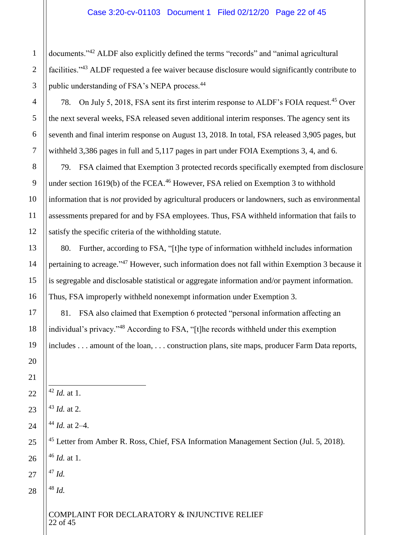# Case 3:20-cv-01103 Document 1 Filed 02/12/20 Page 22 of 45

documents."<sup>42</sup> ALDF also explicitly defined the terms "records" and "animal agricultural facilities."<sup>43</sup> ALDF requested a fee waiver because disclosure would significantly contribute to public understanding of FSA's NEPA process.<sup>44</sup>

78. On July 5, 2018, FSA sent its first interim response to ALDF's FOIA request.<sup>45</sup> Over the next several weeks, FSA released seven additional interim responses. The agency sent its seventh and final interim response on August 13, 2018. In total, FSA released 3,905 pages, but withheld 3,386 pages in full and 5,117 pages in part under FOIA Exemptions 3, 4, and 6.

79. FSA claimed that Exemption 3 protected records specifically exempted from disclosure under section 1619(b) of the FCEA.<sup>46</sup> However, FSA relied on Exemption 3 to withhold information that is *not* provided by agricultural producers or landowners, such as environmental assessments prepared for and by FSA employees. Thus, FSA withheld information that fails to satisfy the specific criteria of the withholding statute.

80. Further, according to FSA, "[t]he type of information withheld includes information pertaining to acreage."<sup>47</sup> However, such information does not fall within Exemption 3 because it is segregable and disclosable statistical or aggregate information and/or payment information. Thus, FSA improperly withheld nonexempt information under Exemption 3.

81. FSA also claimed that Exemption 6 protected "personal information affecting an individual's privacy."<sup>48</sup> According to FSA, "[t]he records withheld under this exemption includes . . . amount of the loan, . . . construction plans, site maps, producer Farm Data reports,

*Id.* at 1.

 $\overline{a}$ 

*Id.* at 2.

*Id.* at 2–4.

<sup>45</sup> Letter from Amber R. Ross, Chief, FSA Information Management Section (Jul. 5, 2018). *Id.* at 1.

*Id.*

*Id.*

# COMPLAINT FOR DECLARATORY & INJUNCTIVE RELIEF of 45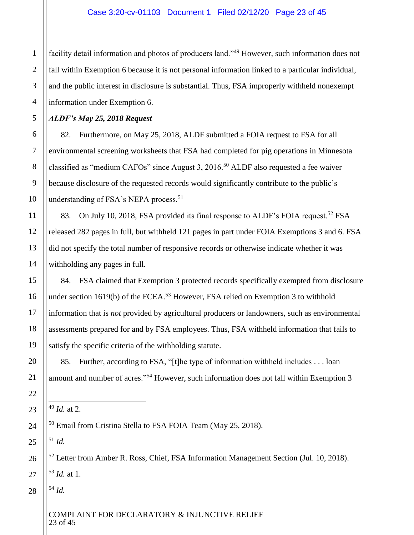facility detail information and photos of producers land."<sup>49</sup> However, such information does not fall within Exemption 6 because it is not personal information linked to a particular individual, and the public interest in disclosure is substantial. Thus, FSA improperly withheld nonexempt information under Exemption 6.

*ALDF's May 25, 2018 Request*

82. Furthermore, on May 25, 2018, ALDF submitted a FOIA request to FSA for all environmental screening worksheets that FSA had completed for pig operations in Minnesota classified as "medium CAFOs" since August 3, 2016.<sup>50</sup> ALDF also requested a fee waiver because disclosure of the requested records would significantly contribute to the public's understanding of FSA's NEPA process.<sup>51</sup>

83. On July 10, 2018, FSA provided its final response to ALDF's FOIA request.<sup>52</sup> FSA released 282 pages in full, but withheld 121 pages in part under FOIA Exemptions 3 and 6. FSA did not specify the total number of responsive records or otherwise indicate whether it was withholding any pages in full.

84. FSA claimed that Exemption 3 protected records specifically exempted from disclosure under section  $1619(b)$  of the FCEA.<sup>53</sup> However, FSA relied on Exemption 3 to withhold information that is *not* provided by agricultural producers or landowners, such as environmental assessments prepared for and by FSA employees. Thus, FSA withheld information that fails to satisfy the specific criteria of the withholding statute.

85. Further, according to FSA, "[t]he type of information withheld includes . . . loan amount and number of acres."<sup>54</sup> However, such information does not fall within Exemption 3

<sup>51</sup> *Id.*

 $\overline{a}$ 

<sup>52</sup> Letter from Amber R. Ross, Chief, FSA Information Management Section (Jul. 10, 2018). <sup>53</sup> *Id.* at 1.

<sup>54</sup> *Id.*

<sup>49</sup> *Id.* at 2.

<sup>&</sup>lt;sup>50</sup> Email from Cristina Stella to FSA FOIA Team (May 25, 2018).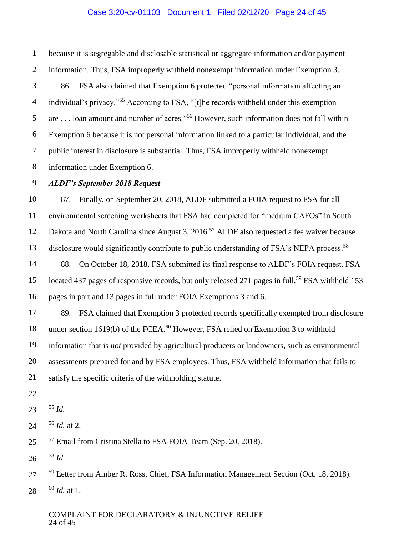because it is segregable and disclosable statistical or aggregate information and/or payment information. Thus, FSA improperly withheld nonexempt information under Exemption 3. 86. FSA also claimed that Exemption 6 protected "personal information affecting an individual's privacy."<sup>55</sup> According to FSA, "[t]he records withheld under this exemption are . . . loan amount and number of acres."<sup>56</sup> However, such information does not fall within Exemption 6 because it is not personal information linked to a particular individual, and the public interest in disclosure is substantial. Thus, FSA improperly withheld nonexempt information under Exemption 6.

# *ALDF's September 2018 Request*

87. Finally, on September 20, 2018, ALDF submitted a FOIA request to FSA for all environmental screening worksheets that FSA had completed for "medium CAFOs" in South Dakota and North Carolina since August 3, 2016.<sup>57</sup> ALDF also requested a fee waiver because disclosure would significantly contribute to public understanding of FSA's NEPA process.<sup>58</sup>

88. On October 18, 2018, FSA submitted its final response to ALDF's FOIA request. FSA located 437 pages of responsive records, but only released 271 pages in full.<sup>59</sup> FSA withheld 153 pages in part and 13 pages in full under FOIA Exemptions 3 and 6.

89. FSA claimed that Exemption 3 protected records specifically exempted from disclosure under section  $1619(b)$  of the FCEA.<sup>60</sup> However, FSA relied on Exemption 3 to withhold information that is *not* provided by agricultural producers or landowners, such as environmental assessments prepared for and by FSA employees. Thus, FSA withheld information that fails to satisfy the specific criteria of the withholding statute.

 $\overline{a}$ <sup>55</sup> *Id.*

<sup>56</sup> *Id.* at 2.

<sup>57</sup> Email from Cristina Stella to FSA FOIA Team (Sep. 20, 2018).

<sup>58</sup> *Id.*

<sup>59</sup> Letter from Amber R. Ross, Chief, FSA Information Management Section (Oct. 18, 2018). <sup>60</sup> *Id.* at 1.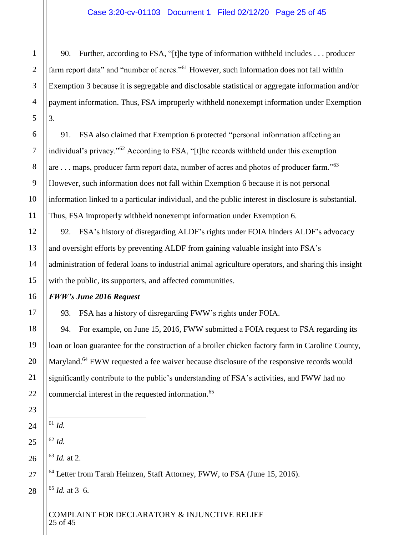90. Further, according to FSA, "[t]he type of information withheld includes . . . producer farm report data" and "number of acres."<sup>61</sup> However, such information does not fall within Exemption 3 because it is segregable and disclosable statistical or aggregate information and/or payment information. Thus, FSA improperly withheld nonexempt information under Exemption 3.

91. FSA also claimed that Exemption 6 protected "personal information affecting an individual's privacy."<sup>62</sup> According to FSA, "[t]he records withheld under this exemption are . . . maps, producer farm report data, number of acres and photos of producer farm."<sup>63</sup> However, such information does not fall within Exemption 6 because it is not personal information linked to a particular individual, and the public interest in disclosure is substantial. Thus, FSA improperly withheld nonexempt information under Exemption 6.

92. FSA's history of disregarding ALDF's rights under FOIA hinders ALDF's advocacy and oversight efforts by preventing ALDF from gaining valuable insight into FSA's administration of federal loans to industrial animal agriculture operators, and sharing this insight with the public, its supporters, and affected communities.

# *FWW's June 2016 Request*

93. FSA has a history of disregarding FWW's rights under FOIA.

94. For example, on June 15, 2016, FWW submitted a FOIA request to FSA regarding its loan or loan guarantee for the construction of a broiler chicken factory farm in Caroline County, Maryland.<sup>64</sup> FWW requested a fee waiver because disclosure of the responsive records would significantly contribute to the public's understanding of FSA's activities, and FWW had no commercial interest in the requested information.<sup>65</sup>

 $\overline{a}$ <sup>61</sup> *Id.*

<sup>62</sup> *Id.*

<sup>63</sup> *Id.* at 2.

<sup>64</sup> Letter from Tarah Heinzen, Staff Attorney, FWW, to FSA (June 15, 2016).

<sup>65</sup> *Id.* at 3–6.

COMPLAINT FOR DECLARATORY & INJUNCTIVE RELIEF 25 of 45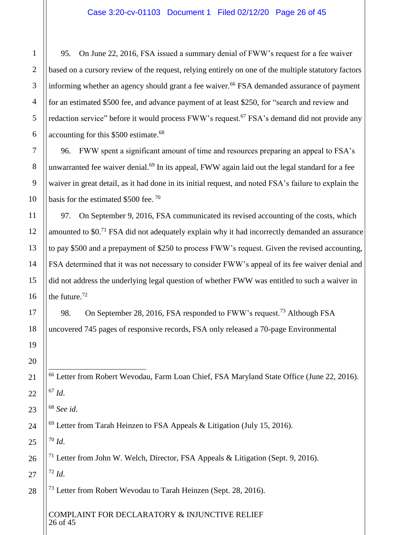95. On June 22, 2016, FSA issued a summary denial of FWW's request for a fee waiver based on a cursory review of the request, relying entirely on one of the multiple statutory factors informing whether an agency should grant a fee waiver.<sup>66</sup> FSA demanded assurance of payment for an estimated \$500 fee, and advance payment of at least \$250, for "search and review and redaction service" before it would process FWW's request.<sup>67</sup> FSA's demand did not provide any accounting for this \$500 estimate.<sup>68</sup>

96. FWW spent a significant amount of time and resources preparing an appeal to FSA's unwarranted fee waiver denial.<sup>69</sup> In its appeal, FWW again laid out the legal standard for a fee waiver in great detail, as it had done in its initial request, and noted FSA's failure to explain the basis for the estimated \$500 fee.<sup>70</sup>

97. On September 9, 2016, FSA communicated its revised accounting of the costs, which amounted to \$0.<sup>71</sup> FSA did not adequately explain why it had incorrectly demanded an assurance to pay \$500 and a prepayment of \$250 to process FWW's request. Given the revised accounting, FSA determined that it was not necessary to consider FWW's appeal of its fee waiver denial and did not address the underlying legal question of whether FWW was entitled to such a waiver in the future.<sup>72</sup>

98. On September 28, 2016, FSA responded to FWW's request.<sup>73</sup> Although FSA uncovered 745 pages of responsive records, FSA only released a 70-page Environmental

 $\overline{a}$  Letter from Robert Wevodau, Farm Loan Chief, FSA Maryland State Office (June 22, 2016). *Id*.

*See id.*

Letter from Tarah Heinzen to FSA Appeals & Litigation (July 15, 2016).

*Id*.

<sup>71</sup> Letter from John W. Welch, Director, FSA Appeals & Litigation (Sept. 9, 2016).

*Id*.

<sup>73</sup> Letter from Robert Wevodau to Tarah Heinzen (Sept. 28, 2016).

COMPLAINT FOR DECLARATORY & INJUNCTIVE RELIEF of 45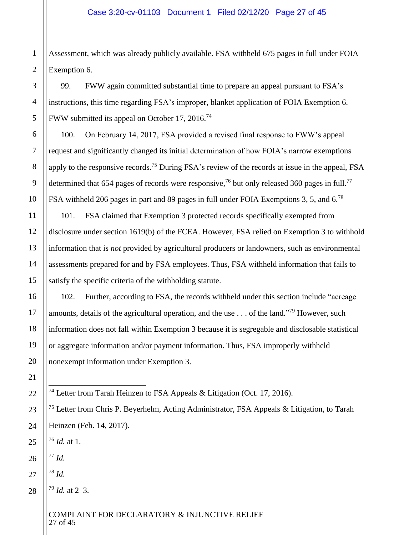Assessment, which was already publicly available. FSA withheld 675 pages in full under FOIA Exemption 6.

99. FWW again committed substantial time to prepare an appeal pursuant to FSA's instructions, this time regarding FSA's improper, blanket application of FOIA Exemption 6. FWW submitted its appeal on October 17, 2016.<sup>74</sup>

100. On February 14, 2017, FSA provided a revised final response to FWW's appeal request and significantly changed its initial determination of how FOIA's narrow exemptions apply to the responsive records.<sup>75</sup> During FSA's review of the records at issue in the appeal, FSA determined that 654 pages of records were responsive,<sup>76</sup> but only released 360 pages in full.<sup>77</sup> FSA withheld 206 pages in part and 89 pages in full under FOIA Exemptions 3, 5, and 6.<sup>78</sup>

101. FSA claimed that Exemption 3 protected records specifically exempted from disclosure under section 1619(b) of the FCEA. However, FSA relied on Exemption 3 to withhold information that is *not* provided by agricultural producers or landowners, such as environmental assessments prepared for and by FSA employees. Thus, FSA withheld information that fails to satisfy the specific criteria of the withholding statute.

102. Further, according to FSA, the records withheld under this section include "acreage amounts, details of the agricultural operation, and the use  $\dots$  of the land."<sup>79</sup> However, such information does not fall within Exemption 3 because it is segregable and disclosable statistical or aggregate information and/or payment information. Thus, FSA improperly withheld nonexempt information under Exemption 3.

<sup>74</sup> Letter from Tarah Heinzen to FSA Appeals & Litigation (Oct. 17, 2016).

<sup>75</sup> Letter from Chris P. Beyerhelm, Acting Administrator, FSA Appeals & Litigation, to Tarah Heinzen (Feb. 14, 2017).

<sup>76</sup> *Id.* at 1.

<sup>77</sup> *Id.*

 $\overline{a}$ 

<sup>78</sup> *Id.*

<sup>79</sup> *Id.* at 2–3.

COMPLAINT FOR DECLARATORY & INJUNCTIVE RELIEF 27 of 45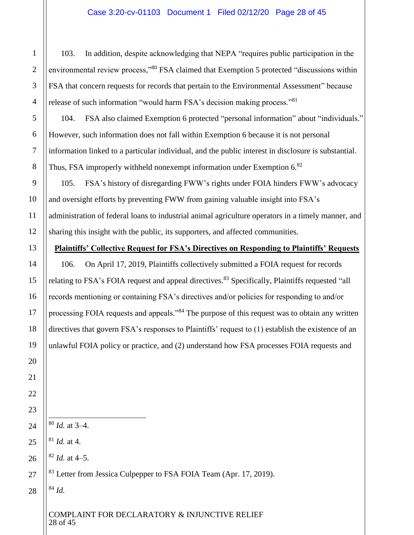# Case 3:20-cv-01103 Document 1 Filed 02/12/20 Page 28 of 45

103. In addition, despite acknowledging that NEPA "requires public participation in the environmental review process,"<sup>80</sup> FSA claimed that Exemption 5 protected "discussions within FSA that concern requests for records that pertain to the Environmental Assessment" because release of such information "would harm FSA's decision making process."<sup>81</sup>

104. FSA also claimed Exemption 6 protected "personal information" about "individuals." However, such information does not fall within Exemption 6 because it is not personal information linked to a particular individual, and the public interest in disclosure is substantial. Thus, FSA improperly withheld nonexempt information under Exemption 6.<sup>82</sup>

105. FSA's history of disregarding FWW's rights under FOIA hinders FWW's advocacy and oversight efforts by preventing FWW from gaining valuable insight into FSA's administration of federal loans to industrial animal agriculture operators in a timely manner, and sharing this insight with the public, its supporters, and affected communities.

#### **Plaintiffs' Collective Request for FSA's Directives on Responding to Plaintiffs' Requests**

106. On April 17, 2019, Plaintiffs collectively submitted a FOIA request for records relating to FSA's FOIA request and appeal directives.<sup>83</sup> Specifically, Plaintiffs requested "all records mentioning or containing FSA's directives and/or policies for responding to and/or processing FOIA requests and appeals.<sup>384</sup> The purpose of this request was to obtain any written directives that govern FSA's responses to Plaintiffs' request to (1) establish the existence of an unlawful FOIA policy or practice, and (2) understand how FSA processes FOIA requests and

- $\overline{a}$ <sup>80</sup> *Id.* at 3–4.
- <sup>81</sup> *Id.* at 4.

 $82$  *Id.* at 4–5.

<sup>83</sup> Letter from Jessica Culpepper to FSA FOIA Team (Apr. 17, 2019).

<sup>84</sup> *Id.*

# COMPLAINT FOR DECLARATORY & INJUNCTIVE RELIEF 28 of 45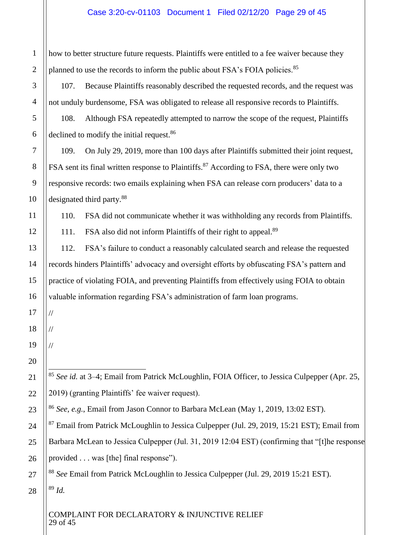# Case 3:20-cv-01103 Document 1 Filed 02/12/20 Page 29 of 45

how to better structure future requests. Plaintiffs were entitled to a fee waiver because they planned to use the records to inform the public about FSA's FOIA policies.<sup>85</sup>

107. Because Plaintiffs reasonably described the requested records, and the request was not unduly burdensome, FSA was obligated to release all responsive records to Plaintiffs.

108. Although FSA repeatedly attempted to narrow the scope of the request, Plaintiffs declined to modify the initial request.<sup>86</sup>

109. On July 29, 2019, more than 100 days after Plaintiffs submitted their joint request, FSA sent its final written response to Plaintiffs.<sup>87</sup> According to FSA, there were only two responsive records: two emails explaining when FSA can release corn producers' data to a designated third party.<sup>88</sup>

110. FSA did not communicate whether it was withholding any records from Plaintiffs.

111. FSA also did not inform Plaintiffs of their right to appeal.<sup>89</sup>

112. FSA's failure to conduct a reasonably calculated search and release the requested records hinders Plaintiffs' advocacy and oversight efforts by obfuscating FSA's pattern and practice of violating FOIA, and preventing Plaintiffs from effectively using FOIA to obtain valuable information regarding FSA's administration of farm loan programs.

18

//

//

//

 $\overline{a}$ 

1

2

3

4

5

6

7

8

9

10

11

12

13

14

15

16

17

19

20

21

22

23

24

25

26

27

28

<sup>85</sup> *See id.* at 3–4; Email from Patrick McLoughlin, FOIA Officer, to Jessica Culpepper (Apr. 25, 2019) (granting Plaintiffs' fee waiver request).

<sup>86</sup> *See, e.g.*, Email from Jason Connor to Barbara McLean (May 1, 2019, 13:02 EST).

 $87$  Email from Patrick McLoughlin to Jessica Culpepper (Jul. 29, 2019, 15:21 EST); Email from Barbara McLean to Jessica Culpepper (Jul. 31, 2019 12:04 EST) (confirming that "[t]he response provided . . . was [the] final response").

<sup>88</sup> *See* Email from Patrick McLoughlin to Jessica Culpepper (Jul. 29, 2019 15:21 EST). <sup>89</sup> *Id.*

COMPLAINT FOR DECLARATORY & INJUNCTIVE RELIEF 29 of 45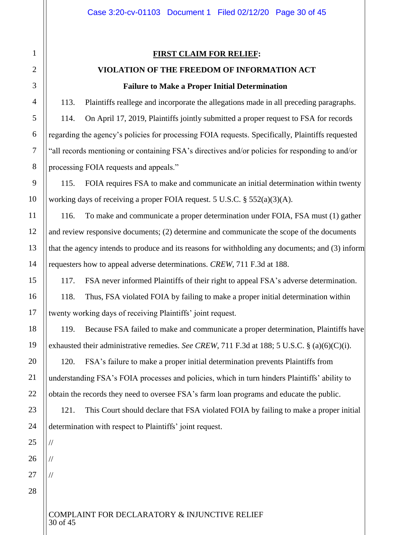//

//

//

#### **FIRST CLAIM FOR RELIEF:**

# **VIOLATION OF THE FREEDOM OF INFORMATION ACT Failure to Make a Proper Initial Determination**

113. Plaintiffs reallege and incorporate the allegations made in all preceding paragraphs. 114. On April 17, 2019, Plaintiffs jointly submitted a proper request to FSA for records regarding the agency's policies for processing FOIA requests. Specifically, Plaintiffs requested "all records mentioning or containing FSA's directives and/or policies for responding to and/or processing FOIA requests and appeals."

115. FOIA requires FSA to make and communicate an initial determination within twenty working days of receiving a proper FOIA request. 5 U.S.C. § 552(a)(3)(A).

116. To make and communicate a proper determination under FOIA, FSA must (1) gather and review responsive documents; (2) determine and communicate the scope of the documents that the agency intends to produce and its reasons for withholding any documents; and (3) inform requesters how to appeal adverse determinations. *CREW*, 711 F.3d at 188.

117. FSA never informed Plaintiffs of their right to appeal FSA's adverse determination.

118. Thus, FSA violated FOIA by failing to make a proper initial determination within twenty working days of receiving Plaintiffs' joint request.

119. Because FSA failed to make and communicate a proper determination, Plaintiffs have exhausted their administrative remedies. *See CREW*, 711 F.3d at 188; 5 U.S.C. § (a)(6)(C)(i).

120. FSA's failure to make a proper initial determination prevents Plaintiffs from understanding FSA's FOIA processes and policies, which in turn hinders Plaintiffs' ability to obtain the records they need to oversee FSA's farm loan programs and educate the public.

121. This Court should declare that FSA violated FOIA by failing to make a proper initial determination with respect to Plaintiffs' joint request.

#### COMPLAINT FOR DECLARATORY & INJUNCTIVE RELIEF 30 of 45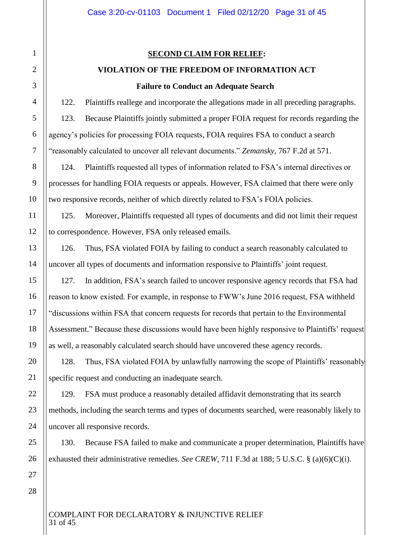#### **SECOND CLAIM FOR RELIEF:**

# **VIOLATION OF THE FREEDOM OF INFORMATION ACT**

# **Failure to Conduct an Adequate Search**

122. Plaintiffs reallege and incorporate the allegations made in all preceding paragraphs. 123. Because Plaintiffs jointly submitted a proper FOIA request for records regarding the agency's policies for processing FOIA requests, FOIA requires FSA to conduct a search "reasonably calculated to uncover all relevant documents." *Zemansky*, 767 F.2d at 571.

124. Plaintiffs requested all types of information related to FSA's internal directives or processes for handling FOIA requests or appeals. However, FSA claimed that there were only two responsive records, neither of which directly related to FSA's FOIA policies.

125. Moreover, Plaintiffs requested all types of documents and did not limit their request to correspondence. However, FSA only released emails.

126. Thus, FSA violated FOIA by failing to conduct a search reasonably calculated to uncover all types of documents and information responsive to Plaintiffs' joint request.

127. In addition, FSA's search failed to uncover responsive agency records that FSA had reason to know existed. For example, in response to FWW's June 2016 request, FSA withheld "discussions within FSA that concern requests for records that pertain to the Environmental Assessment." Because these discussions would have been highly responsive to Plaintiffs' request as well, a reasonably calculated search should have uncovered these agency records.

128. Thus, FSA violated FOIA by unlawfully narrowing the scope of Plaintiffs' reasonably specific request and conducting an inadequate search.

129. FSA must produce a reasonably detailed affidavit demonstrating that its search methods, including the search terms and types of documents searched, were reasonably likely to uncover all responsive records.

130. Because FSA failed to make and communicate a proper determination, Plaintiffs have exhausted their administrative remedies. *See CREW*, 711 F.3d at 188; 5 U.S.C. § (a)(6)(C)(i).

COMPLAINT FOR DECLARATORY & INJUNCTIVE RELIEF 31 of 45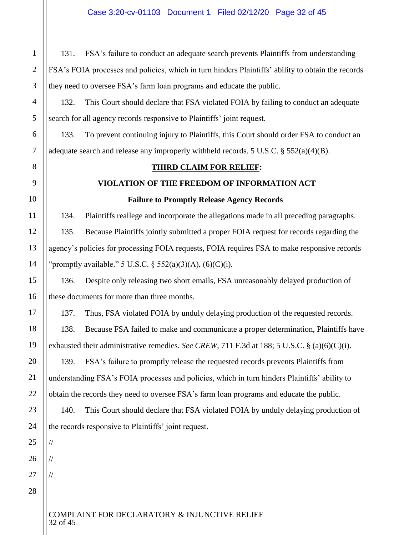131. FSA's failure to conduct an adequate search prevents Plaintiffs from understanding FSA's FOIA processes and policies, which in turn hinders Plaintiffs' ability to obtain the records they need to oversee FSA's farm loan programs and educate the public.

132. This Court should declare that FSA violated FOIA by failing to conduct an adequate search for all agency records responsive to Plaintiffs' joint request.

133. To prevent continuing injury to Plaintiffs, this Court should order FSA to conduct an adequate search and release any improperly withheld records. 5 U.S.C. § 552(a)(4)(B).

# **THIRD CLAIM FOR RELIEF:**

# **VIOLATION OF THE FREEDOM OF INFORMATION ACT**

# **Failure to Promptly Release Agency Records**

134. Plaintiffs reallege and incorporate the allegations made in all preceding paragraphs. 135. Because Plaintiffs jointly submitted a proper FOIA request for records regarding the agency's policies for processing FOIA requests, FOIA requires FSA to make responsive records

"promptly available." 5 U.S.C.  $\S$  552(a)(3)(A), (6)(C)(i).

136. Despite only releasing two short emails, FSA unreasonably delayed production of these documents for more than three months.

137. Thus, FSA violated FOIA by unduly delaying production of the requested records. 138. Because FSA failed to make and communicate a proper determination, Plaintiffs have exhausted their administrative remedies. *See CREW*, 711 F.3d at 188; 5 U.S.C. § (a)(6)(C)(i).

139. FSA's failure to promptly release the requested records prevents Plaintiffs from understanding FSA's FOIA processes and policies, which in turn hinders Plaintiffs' ability to obtain the records they need to oversee FSA's farm loan programs and educate the public.

140. This Court should declare that FSA violated FOIA by unduly delaying production of the records responsive to Plaintiffs' joint request.

26

1

2

3

4

5

6

7

8

9

10

11

12

13

14

15

16

17

18

19

20

21

22

23

24

25

//

//

//

27 28

# COMPLAINT FOR DECLARATORY & INJUNCTIVE RELIEF 32 of 45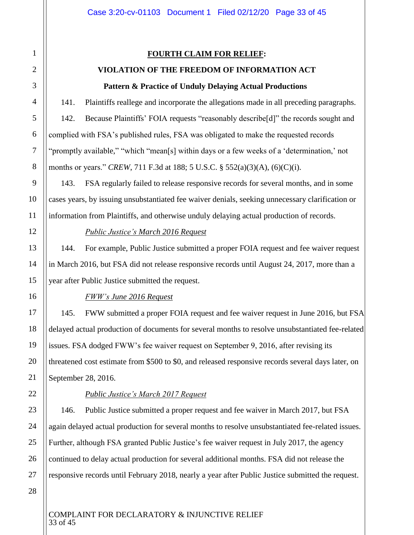# **FOURTH CLAIM FOR RELIEF:**

# **VIOLATION OF THE FREEDOM OF INFORMATION ACT Pattern & Practice of Unduly Delaying Actual Productions**

141. Plaintiffs reallege and incorporate the allegations made in all preceding paragraphs. 142. Because Plaintiffs' FOIA requests "reasonably describe[d]" the records sought and complied with FSA's published rules, FSA was obligated to make the requested records "promptly available," "which "mean[s] within days or a few weeks of a 'determination,' not months or years." *CREW*, 711 F.3d at 188; 5 U.S.C. § 552(a)(3)(A), (6)(C)(i).

143. FSA regularly failed to release responsive records for several months, and in some cases years, by issuing unsubstantiated fee waiver denials, seeking unnecessary clarification or information from Plaintiffs, and otherwise unduly delaying actual production of records.

#### *Public Justice's March 2016 Request*

144. For example, Public Justice submitted a proper FOIA request and fee waiver request in March 2016, but FSA did not release responsive records until August 24, 2017, more than a year after Public Justice submitted the request.

#### *FWW's June 2016 Request*

145. FWW submitted a proper FOIA request and fee waiver request in June 2016, but FSA delayed actual production of documents for several months to resolve unsubstantiated fee-related issues. FSA dodged FWW's fee waiver request on September 9, 2016, after revising its threatened cost estimate from \$500 to \$0, and released responsive records several days later, on September 28, 2016.

# *Public Justice's March 2017 Request*

146. Public Justice submitted a proper request and fee waiver in March 2017, but FSA again delayed actual production for several months to resolve unsubstantiated fee-related issues. Further, although FSA granted Public Justice's fee waiver request in July 2017, the agency continued to delay actual production for several additional months. FSA did not release the responsive records until February 2018, nearly a year after Public Justice submitted the request.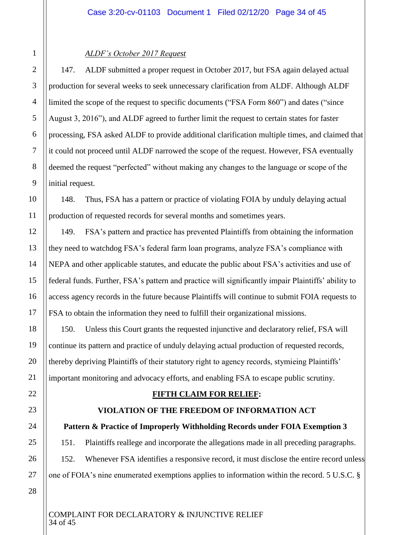# *ALDF's October 2017 Request*

147. ALDF submitted a proper request in October 2017, but FSA again delayed actual production for several weeks to seek unnecessary clarification from ALDF. Although ALDF limited the scope of the request to specific documents ("FSA Form 860") and dates ("since August 3, 2016"), and ALDF agreed to further limit the request to certain states for faster processing, FSA asked ALDF to provide additional clarification multiple times, and claimed that it could not proceed until ALDF narrowed the scope of the request. However, FSA eventually deemed the request "perfected" without making any changes to the language or scope of the initial request.

148. Thus, FSA has a pattern or practice of violating FOIA by unduly delaying actual production of requested records for several months and sometimes years.

149. FSA's pattern and practice has prevented Plaintiffs from obtaining the information they need to watchdog FSA's federal farm loan programs, analyze FSA's compliance with NEPA and other applicable statutes, and educate the public about FSA's activities and use of federal funds. Further, FSA's pattern and practice will significantly impair Plaintiffs' ability to access agency records in the future because Plaintiffs will continue to submit FOIA requests to FSA to obtain the information they need to fulfill their organizational missions.

150. Unless this Court grants the requested injunctive and declaratory relief, FSA will continue its pattern and practice of unduly delaying actual production of requested records, thereby depriving Plaintiffs of their statutory right to agency records, stymieing Plaintiffs' important monitoring and advocacy efforts, and enabling FSA to escape public scrutiny.

# **FIFTH CLAIM FOR RELIEF:**

# **VIOLATION OF THE FREEDOM OF INFORMATION ACT**

# **Pattern & Practice of Improperly Withholding Records under FOIA Exemption 3**

151. Plaintiffs reallege and incorporate the allegations made in all preceding paragraphs. 152. Whenever FSA identifies a responsive record, it must disclose the entire record unless one of FOIA's nine enumerated exemptions applies to information within the record. 5 U.S.C. §

28

1

2

3

4

5

6

7

8

9

10

11

12

13

14

15

16

17

18

19

20

21

22

23

24

25

26

27

COMPLAINT FOR DECLARATORY & INJUNCTIVE RELIEF 34 of 45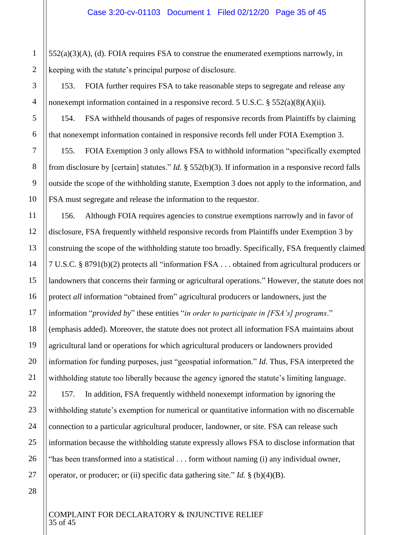$552(a)(3)(A)$ , (d). FOIA requires FSA to construe the enumerated exemptions narrowly, in keeping with the statute's principal purpose of disclosure.

153. FOIA further requires FSA to take reasonable steps to segregate and release any nonexempt information contained in a responsive record. 5 U.S.C. § 552(a)(8)(A)(ii).

154. FSA withheld thousands of pages of responsive records from Plaintiffs by claiming that nonexempt information contained in responsive records fell under FOIA Exemption 3.

155. FOIA Exemption 3 only allows FSA to withhold information "specifically exempted from disclosure by [certain] statutes." *Id.* § 552(b)(3). If information in a responsive record falls outside the scope of the withholding statute, Exemption 3 does not apply to the information, and FSA must segregate and release the information to the requestor.

156. Although FOIA requires agencies to construe exemptions narrowly and in favor of disclosure, FSA frequently withheld responsive records from Plaintiffs under Exemption 3 by construing the scope of the withholding statute too broadly. Specifically, FSA frequently claimed 7 U.S.C. § 8791(b)(2) protects all "information FSA . . . obtained from agricultural producers or landowners that concerns their farming or agricultural operations." However, the statute does not protect *all* information "obtained from" agricultural producers or landowners, just the information "*provided by*" these entities "*in order to participate in [FSA's] programs*." (emphasis added). Moreover, the statute does not protect all information FSA maintains about agricultural land or operations for which agricultural producers or landowners provided information for funding purposes, just "geospatial information." *Id*. Thus, FSA interpreted the withholding statute too liberally because the agency ignored the statute's limiting language. 157. In addition, FSA frequently withheld nonexempt information by ignoring the withholding statute's exemption for numerical or quantitative information with no discernable

connection to a particular agricultural producer, landowner, or site. FSA can release such information because the withholding statute expressly allows FSA to disclose information that "has been transformed into a statistical . . . form without naming (i) any individual owner, operator, or producer; or (ii) specific data gathering site." *Id.* § (b)(4)(B).

1

#### COMPLAINT FOR DECLARATORY & INJUNCTIVE RELIEF 35 of 45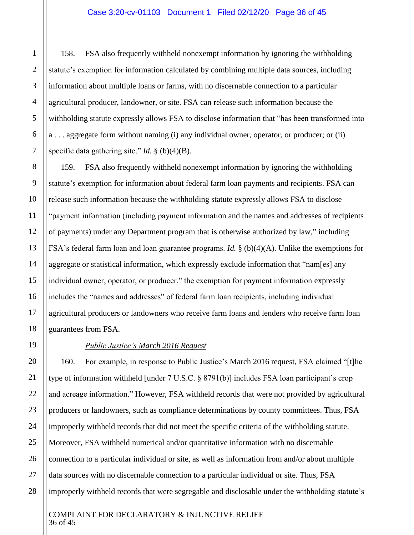158. FSA also frequently withheld nonexempt information by ignoring the withholding statute's exemption for information calculated by combining multiple data sources, including information about multiple loans or farms, with no discernable connection to a particular agricultural producer, landowner, or site. FSA can release such information because the withholding statute expressly allows FSA to disclose information that "has been transformed into a . . . aggregate form without naming (i) any individual owner, operator, or producer; or (ii) specific data gathering site." *Id.* § (b)(4)(B).

159. FSA also frequently withheld nonexempt information by ignoring the withholding statute's exemption for information about federal farm loan payments and recipients. FSA can release such information because the withholding statute expressly allows FSA to disclose "payment information (including payment information and the names and addresses of recipients of payments) under any Department program that is otherwise authorized by law," including FSA's federal farm loan and loan guarantee programs. *Id.* § (b)(4)(A). Unlike the exemptions for aggregate or statistical information, which expressly exclude information that "nam[es] any individual owner, operator, or producer," the exemption for payment information expressly includes the "names and addresses" of federal farm loan recipients, including individual agricultural producers or landowners who receive farm loans and lenders who receive farm loan guarantees from FSA.

#### *Public Justice's March 2016 Request*

160. For example, in response to Public Justice's March 2016 request, FSA claimed "[t]he type of information withheld [under 7 U.S.C. § 8791(b)] includes FSA loan participant's crop and acreage information." However, FSA withheld records that were not provided by agricultural producers or landowners, such as compliance determinations by county committees. Thus, FSA improperly withheld records that did not meet the specific criteria of the withholding statute. Moreover, FSA withheld numerical and/or quantitative information with no discernable connection to a particular individual or site, as well as information from and/or about multiple data sources with no discernable connection to a particular individual or site. Thus, FSA improperly withheld records that were segregable and disclosable under the withholding statute's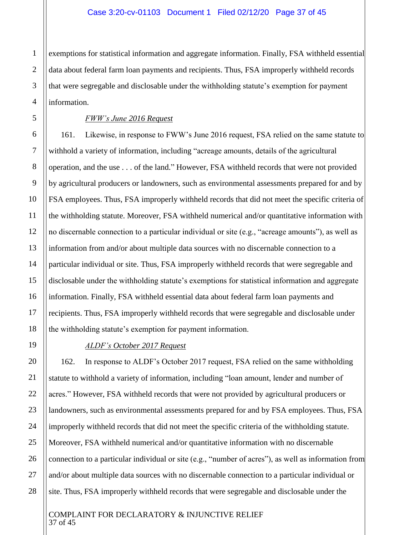exemptions for statistical information and aggregate information. Finally, FSA withheld essential data about federal farm loan payments and recipients. Thus, FSA improperly withheld records that were segregable and disclosable under the withholding statute's exemption for payment information.

#### *FWW's June 2016 Request*

161. Likewise, in response to FWW's June 2016 request, FSA relied on the same statute to withhold a variety of information, including "acreage amounts, details of the agricultural operation, and the use . . . of the land." However, FSA withheld records that were not provided by agricultural producers or landowners, such as environmental assessments prepared for and by FSA employees. Thus, FSA improperly withheld records that did not meet the specific criteria of the withholding statute. Moreover, FSA withheld numerical and/or quantitative information with no discernable connection to a particular individual or site (e.g., "acreage amounts"), as well as information from and/or about multiple data sources with no discernable connection to a particular individual or site. Thus, FSA improperly withheld records that were segregable and disclosable under the withholding statute's exemptions for statistical information and aggregate information. Finally, FSA withheld essential data about federal farm loan payments and recipients. Thus, FSA improperly withheld records that were segregable and disclosable under the withholding statute's exemption for payment information.

#### *ALDF's October 2017 Request*

162. In response to ALDF's October 2017 request, FSA relied on the same withholding statute to withhold a variety of information, including "loan amount, lender and number of acres." However, FSA withheld records that were not provided by agricultural producers or landowners, such as environmental assessments prepared for and by FSA employees. Thus, FSA improperly withheld records that did not meet the specific criteria of the withholding statute. Moreover, FSA withheld numerical and/or quantitative information with no discernable connection to a particular individual or site (e.g., "number of acres"), as well as information from and/or about multiple data sources with no discernable connection to a particular individual or site. Thus, FSA improperly withheld records that were segregable and disclosable under the

#### COMPLAINT FOR DECLARATORY & INJUNCTIVE RELIEF 37 of 45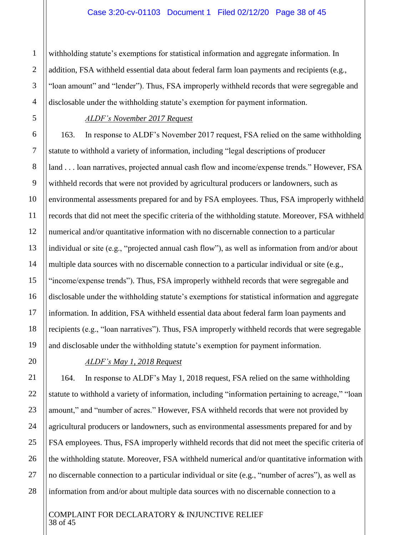#### Case 3:20-cv-01103 Document 1 Filed 02/12/20 Page 38 of 45

withholding statute's exemptions for statistical information and aggregate information. In addition, FSA withheld essential data about federal farm loan payments and recipients (e.g., "loan amount" and "lender"). Thus, FSA improperly withheld records that were segregable and disclosable under the withholding statute's exemption for payment information.

#### *ALDF's November 2017 Request*

163. In response to ALDF's November 2017 request, FSA relied on the same withholding statute to withhold a variety of information, including "legal descriptions of producer land . . . loan narratives, projected annual cash flow and income/expense trends." However, FSA withheld records that were not provided by agricultural producers or landowners, such as environmental assessments prepared for and by FSA employees. Thus, FSA improperly withheld records that did not meet the specific criteria of the withholding statute. Moreover, FSA withheld numerical and/or quantitative information with no discernable connection to a particular individual or site (e.g., "projected annual cash flow"), as well as information from and/or about multiple data sources with no discernable connection to a particular individual or site (e.g., "income/expense trends"). Thus, FSA improperly withheld records that were segregable and disclosable under the withholding statute's exemptions for statistical information and aggregate information. In addition, FSA withheld essential data about federal farm loan payments and recipients (e.g., "loan narratives"). Thus, FSA improperly withheld records that were segregable and disclosable under the withholding statute's exemption for payment information.

# *ALDF's May 1, 2018 Request*

164. In response to ALDF's May 1, 2018 request, FSA relied on the same withholding statute to withhold a variety of information, including "information pertaining to acreage," "loan amount," and "number of acres." However, FSA withheld records that were not provided by agricultural producers or landowners, such as environmental assessments prepared for and by FSA employees. Thus, FSA improperly withheld records that did not meet the specific criteria of the withholding statute. Moreover, FSA withheld numerical and/or quantitative information with no discernable connection to a particular individual or site (e.g., "number of acres"), as well as information from and/or about multiple data sources with no discernable connection to a

#### COMPLAINT FOR DECLARATORY & INJUNCTIVE RELIEF 38 of 45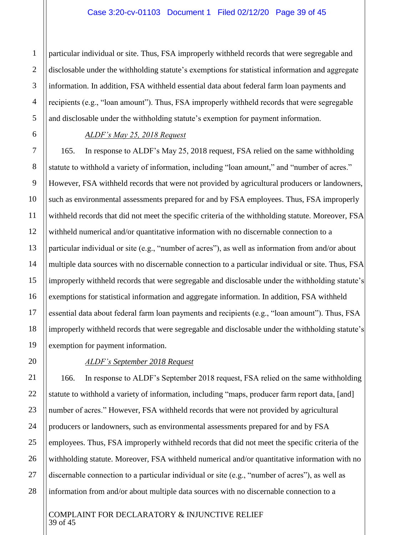particular individual or site. Thus, FSA improperly withheld records that were segregable and disclosable under the withholding statute's exemptions for statistical information and aggregate information. In addition, FSA withheld essential data about federal farm loan payments and recipients (e.g., "loan amount"). Thus, FSA improperly withheld records that were segregable and disclosable under the withholding statute's exemption for payment information.

# *ALDF's May 25, 2018 Request*

165. In response to ALDF's May 25, 2018 request, FSA relied on the same withholding statute to withhold a variety of information, including "loan amount," and "number of acres." However, FSA withheld records that were not provided by agricultural producers or landowners, such as environmental assessments prepared for and by FSA employees. Thus, FSA improperly withheld records that did not meet the specific criteria of the withholding statute. Moreover, FSA withheld numerical and/or quantitative information with no discernable connection to a particular individual or site (e.g., "number of acres"), as well as information from and/or about multiple data sources with no discernable connection to a particular individual or site. Thus, FSA improperly withheld records that were segregable and disclosable under the withholding statute's exemptions for statistical information and aggregate information. In addition, FSA withheld essential data about federal farm loan payments and recipients (e.g., "loan amount"). Thus, FSA improperly withheld records that were segregable and disclosable under the withholding statute's exemption for payment information.

# *ALDF's September 2018 Request*

166. In response to ALDF's September 2018 request, FSA relied on the same withholding statute to withhold a variety of information, including "maps, producer farm report data, [and] number of acres." However, FSA withheld records that were not provided by agricultural producers or landowners, such as environmental assessments prepared for and by FSA employees. Thus, FSA improperly withheld records that did not meet the specific criteria of the withholding statute. Moreover, FSA withheld numerical and/or quantitative information with no discernable connection to a particular individual or site (e.g., "number of acres"), as well as information from and/or about multiple data sources with no discernable connection to a

#### COMPLAINT FOR DECLARATORY & INJUNCTIVE RELIEF 39 of 45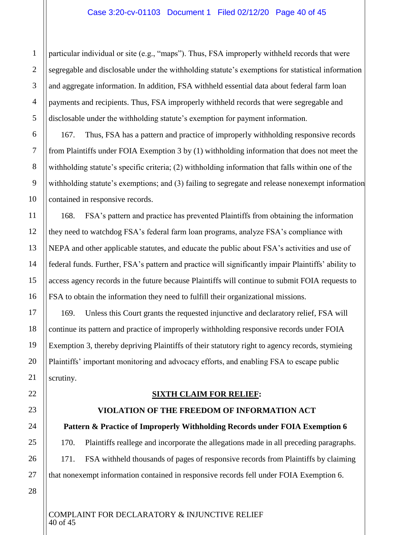particular individual or site (e.g., "maps"). Thus, FSA improperly withheld records that were segregable and disclosable under the withholding statute's exemptions for statistical information and aggregate information. In addition, FSA withheld essential data about federal farm loan payments and recipients. Thus, FSA improperly withheld records that were segregable and disclosable under the withholding statute's exemption for payment information.

167. Thus, FSA has a pattern and practice of improperly withholding responsive records from Plaintiffs under FOIA Exemption 3 by (1) withholding information that does not meet the withholding statute's specific criteria; (2) withholding information that falls within one of the withholding statute's exemptions; and (3) failing to segregate and release nonexempt information contained in responsive records.

168. FSA's pattern and practice has prevented Plaintiffs from obtaining the information they need to watchdog FSA's federal farm loan programs, analyze FSA's compliance with NEPA and other applicable statutes, and educate the public about FSA's activities and use of federal funds. Further, FSA's pattern and practice will significantly impair Plaintiffs' ability to access agency records in the future because Plaintiffs will continue to submit FOIA requests to FSA to obtain the information they need to fulfill their organizational missions.

169. Unless this Court grants the requested injunctive and declaratory relief, FSA will continue its pattern and practice of improperly withholding responsive records under FOIA Exemption 3, thereby depriving Plaintiffs of their statutory right to agency records, stymieing Plaintiffs' important monitoring and advocacy efforts, and enabling FSA to escape public scrutiny.

# **SIXTH CLAIM FOR RELIEF:**

# **VIOLATION OF THE FREEDOM OF INFORMATION ACT**

# **Pattern & Practice of Improperly Withholding Records under FOIA Exemption 6**

170. Plaintiffs reallege and incorporate the allegations made in all preceding paragraphs. 171. FSA withheld thousands of pages of responsive records from Plaintiffs by claiming that nonexempt information contained in responsive records fell under FOIA Exemption 6.

26 27 28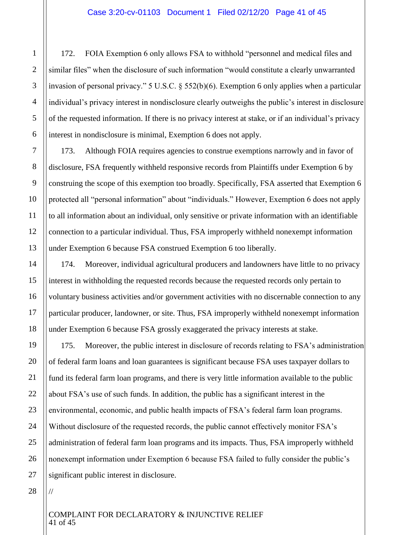172. FOIA Exemption 6 only allows FSA to withhold "personnel and medical files and similar files" when the disclosure of such information "would constitute a clearly unwarranted invasion of personal privacy." 5 U.S.C. § 552(b)(6). Exemption 6 only applies when a particular individual's privacy interest in nondisclosure clearly outweighs the public's interest in disclosure of the requested information. If there is no privacy interest at stake, or if an individual's privacy interest in nondisclosure is minimal, Exemption 6 does not apply.

173. Although FOIA requires agencies to construe exemptions narrowly and in favor of disclosure, FSA frequently withheld responsive records from Plaintiffs under Exemption 6 by construing the scope of this exemption too broadly. Specifically, FSA asserted that Exemption 6 protected all "personal information" about "individuals." However, Exemption 6 does not apply to all information about an individual, only sensitive or private information with an identifiable connection to a particular individual. Thus, FSA improperly withheld nonexempt information under Exemption 6 because FSA construed Exemption 6 too liberally.

174. Moreover, individual agricultural producers and landowners have little to no privacy interest in withholding the requested records because the requested records only pertain to voluntary business activities and/or government activities with no discernable connection to any particular producer, landowner, or site. Thus, FSA improperly withheld nonexempt information under Exemption 6 because FSA grossly exaggerated the privacy interests at stake.

175. Moreover, the public interest in disclosure of records relating to FSA's administration of federal farm loans and loan guarantees is significant because FSA uses taxpayer dollars to fund its federal farm loan programs, and there is very little information available to the public about FSA's use of such funds. In addition, the public has a significant interest in the environmental, economic, and public health impacts of FSA's federal farm loan programs. Without disclosure of the requested records, the public cannot effectively monitor FSA's administration of federal farm loan programs and its impacts. Thus, FSA improperly withheld nonexempt information under Exemption 6 because FSA failed to fully consider the public's significant public interest in disclosure.

//

#### COMPLAINT FOR DECLARATORY & INJUNCTIVE RELIEF 41 of 45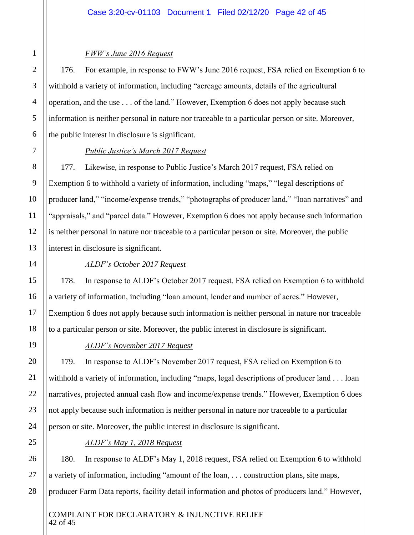# *FWW's June 2016 Request*

176. For example, in response to FWW's June 2016 request, FSA relied on Exemption 6 to withhold a variety of information, including "acreage amounts, details of the agricultural operation, and the use . . . of the land." However, Exemption 6 does not apply because such information is neither personal in nature nor traceable to a particular person or site. Moreover, the public interest in disclosure is significant.

# *Public Justice's March 2017 Request*

177. Likewise, in response to Public Justice's March 2017 request, FSA relied on Exemption 6 to withhold a variety of information, including "maps," "legal descriptions of producer land," "income/expense trends," "photographs of producer land," "loan narratives" and "appraisals," and "parcel data." However, Exemption 6 does not apply because such information is neither personal in nature nor traceable to a particular person or site. Moreover, the public interest in disclosure is significant.

# *ALDF's October 2017 Request*

178. In response to ALDF's October 2017 request, FSA relied on Exemption 6 to withhold a variety of information, including "loan amount, lender and number of acres." However, Exemption 6 does not apply because such information is neither personal in nature nor traceable to a particular person or site. Moreover, the public interest in disclosure is significant.

# *ALDF's November 2017 Request*

179. In response to ALDF's November 2017 request, FSA relied on Exemption 6 to withhold a variety of information, including "maps, legal descriptions of producer land . . . loan narratives, projected annual cash flow and income/expense trends." However, Exemption 6 does not apply because such information is neither personal in nature nor traceable to a particular person or site. Moreover, the public interest in disclosure is significant.

# *ALDF's May 1, 2018 Request*

180. In response to ALDF's May 1, 2018 request, FSA relied on Exemption 6 to withhold a variety of information, including "amount of the loan, . . . construction plans, site maps, producer Farm Data reports, facility detail information and photos of producers land." However,

# COMPLAINT FOR DECLARATORY & INJUNCTIVE RELIEF 42 of 45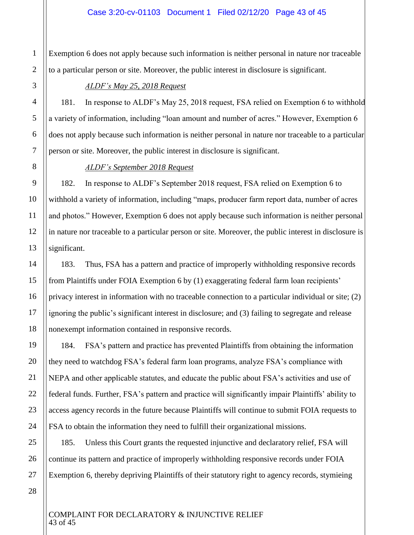Exemption 6 does not apply because such information is neither personal in nature nor traceable to a particular person or site. Moreover, the public interest in disclosure is significant.

# *ALDF's May 25, 2018 Request*

181. In response to ALDF's May 25, 2018 request, FSA relied on Exemption 6 to withhold a variety of information, including "loan amount and number of acres." However, Exemption 6 does not apply because such information is neither personal in nature nor traceable to a particular person or site. Moreover, the public interest in disclosure is significant.

# *ALDF's September 2018 Request*

182. In response to ALDF's September 2018 request, FSA relied on Exemption 6 to withhold a variety of information, including "maps, producer farm report data, number of acres and photos." However, Exemption 6 does not apply because such information is neither personal in nature nor traceable to a particular person or site. Moreover, the public interest in disclosure is significant.

183. Thus, FSA has a pattern and practice of improperly withholding responsive records from Plaintiffs under FOIA Exemption 6 by (1) exaggerating federal farm loan recipients' privacy interest in information with no traceable connection to a particular individual or site; (2) ignoring the public's significant interest in disclosure; and (3) failing to segregate and release nonexempt information contained in responsive records.

184. FSA's pattern and practice has prevented Plaintiffs from obtaining the information they need to watchdog FSA's federal farm loan programs, analyze FSA's compliance with NEPA and other applicable statutes, and educate the public about FSA's activities and use of federal funds. Further, FSA's pattern and practice will significantly impair Plaintiffs' ability to access agency records in the future because Plaintiffs will continue to submit FOIA requests to FSA to obtain the information they need to fulfill their organizational missions.

185. Unless this Court grants the requested injunctive and declaratory relief, FSA will continue its pattern and practice of improperly withholding responsive records under FOIA Exemption 6, thereby depriving Plaintiffs of their statutory right to agency records, stymieing

1

COMPLAINT FOR DECLARATORY & INJUNCTIVE RELIEF 43 of 45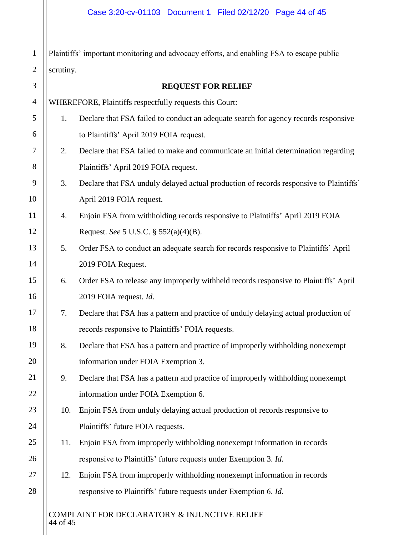Plaintiffs' important monitoring and advocacy efforts, and enabling FSA to escape public  $||$  scrutiny.

| $\overline{2}$ | scrutiny.                                               |                                                                                        |  |
|----------------|---------------------------------------------------------|----------------------------------------------------------------------------------------|--|
| 3              | <b>REQUEST FOR RELIEF</b>                               |                                                                                        |  |
| $\overline{4}$ | WHEREFORE, Plaintiffs respectfully requests this Court: |                                                                                        |  |
| 5              | 1.                                                      | Declare that FSA failed to conduct an adequate search for agency records responsive    |  |
| 6              |                                                         | to Plaintiffs' April 2019 FOIA request.                                                |  |
| 7              | 2.                                                      | Declare that FSA failed to make and communicate an initial determination regarding     |  |
| 8              |                                                         | Plaintiffs' April 2019 FOIA request.                                                   |  |
| 9              | 3.                                                      | Declare that FSA unduly delayed actual production of records responsive to Plaintiffs' |  |
| 10             |                                                         | April 2019 FOIA request.                                                               |  |
| 11             | 4.                                                      | Enjoin FSA from withholding records responsive to Plaintiffs' April 2019 FOIA          |  |
| 12             |                                                         | Request. See 5 U.S.C. § 552(a)(4)(B).                                                  |  |
| 13             | 5.                                                      | Order FSA to conduct an adequate search for records responsive to Plaintiffs' April    |  |
| 14             |                                                         | 2019 FOIA Request.                                                                     |  |
| 15             | 6.                                                      | Order FSA to release any improperly withheld records responsive to Plaintiffs' April   |  |
| 16             |                                                         | 2019 FOIA request. Id.                                                                 |  |
| 17             | 7.                                                      | Declare that FSA has a pattern and practice of unduly delaying actual production of    |  |
| 18             |                                                         | records responsive to Plaintiffs' FOIA requests.                                       |  |
| 19             | 8.                                                      | Declare that FSA has a pattern and practice of improperly withholding nonexempt        |  |
| 20             |                                                         | information under FOIA Exemption 3.                                                    |  |
| 21             | 9.                                                      | Declare that FSA has a pattern and practice of improperly withholding nonexempt        |  |
| 22             |                                                         | information under FOIA Exemption 6.                                                    |  |
| 23             | 10.                                                     | Enjoin FSA from unduly delaying actual production of records responsive to             |  |
| 24             |                                                         | Plaintiffs' future FOIA requests.                                                      |  |
| 25             | 11.                                                     | Enjoin FSA from improperly withholding nonexempt information in records                |  |
| 26             |                                                         | responsive to Plaintiffs' future requests under Exemption 3. Id.                       |  |
| 27             | 12.                                                     | Enjoin FSA from improperly withholding nonexempt information in records                |  |
| 28             |                                                         | responsive to Plaintiffs' future requests under Exemption 6. Id.                       |  |
|                | COMPLAINT FOR DECLARATORY & INJUNCTIVE RELIEF           |                                                                                        |  |

44 of 45

1